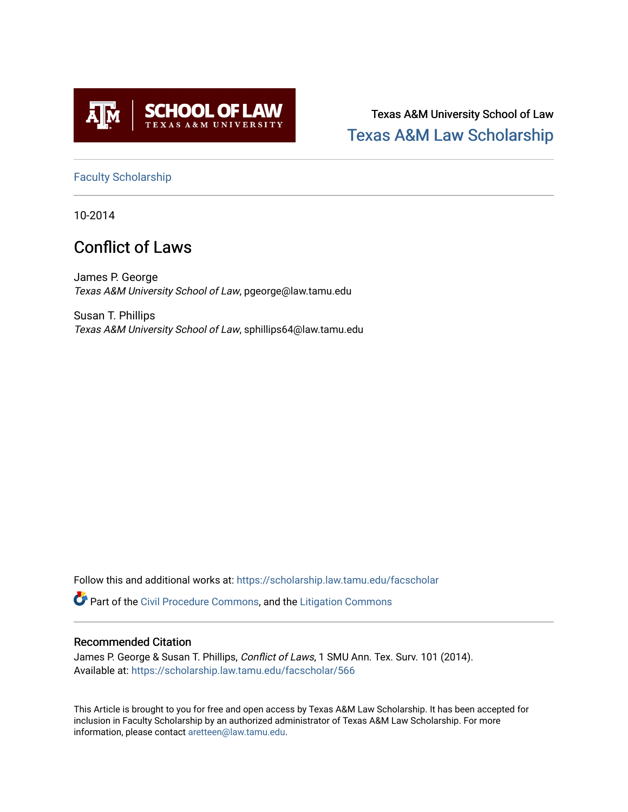

Texas A&M University School of Law [Texas A&M Law Scholarship](https://scholarship.law.tamu.edu/) 

[Faculty Scholarship](https://scholarship.law.tamu.edu/facscholar)

10-2014

# Conflict of Laws

James P. George Texas A&M University School of Law, pgeorge@law.tamu.edu

Susan T. Phillips Texas A&M University School of Law, sphillips64@law.tamu.edu

Follow this and additional works at: [https://scholarship.law.tamu.edu/facscholar](https://scholarship.law.tamu.edu/facscholar?utm_source=scholarship.law.tamu.edu%2Ffacscholar%2F566&utm_medium=PDF&utm_campaign=PDFCoverPages) 

Part of the [Civil Procedure Commons,](http://network.bepress.com/hgg/discipline/584?utm_source=scholarship.law.tamu.edu%2Ffacscholar%2F566&utm_medium=PDF&utm_campaign=PDFCoverPages) and the [Litigation Commons](http://network.bepress.com/hgg/discipline/910?utm_source=scholarship.law.tamu.edu%2Ffacscholar%2F566&utm_medium=PDF&utm_campaign=PDFCoverPages) 

# Recommended Citation

James P. George & Susan T. Phillips, Conflict of Laws, 1 SMU Ann. Tex. Surv. 101 (2014). Available at: [https://scholarship.law.tamu.edu/facscholar/566](https://scholarship.law.tamu.edu/facscholar/566?utm_source=scholarship.law.tamu.edu%2Ffacscholar%2F566&utm_medium=PDF&utm_campaign=PDFCoverPages)

This Article is brought to you for free and open access by Texas A&M Law Scholarship. It has been accepted for inclusion in Faculty Scholarship by an authorized administrator of Texas A&M Law Scholarship. For more information, please contact [aretteen@law.tamu.edu](mailto:aretteen@law.tamu.edu).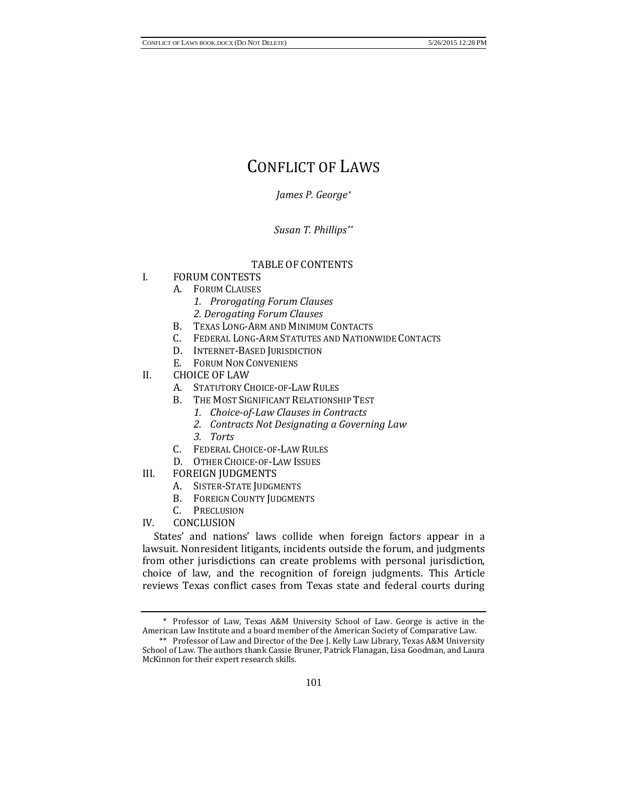# CONFLICT OF LAWS

*James P. Georg[e\\*](#page-1-0)*

*Susan T. Phillips[\\*\\*](#page-1-1)*

# TABLE OF CONTENTS

- I. FORUM CONTESTS
	- A. FORUM CLAUSES
		- *1. Prorogating Forum Clauses 2. Derogating Forum Clauses*
		- B. TEXAS LONG-ARM AND MINIMUM CONTACTS
		- C. FEDERAL LONG-ARM STATUTES AND NATIONWIDE CONTACTS
		- D. INTERNET-BASED JURISDICTION
		- E. FORUM NON CONVENIENS
- II. CHOICE OF LAW
	- A. STATUTORY CHOICE-OF-LAW RULES
	- B. THE MOST SIGNIFICANT RELATIONSHIP TEST
		- *1. Choice-of-Law Clauses in Contracts*
		- *2. Contracts Not Designating a Governing Law*
		- *3. Torts*
	- C. FEDERAL CHOICE-OF-LAW RULES
	- D. OTHER CHOICE-OF-LAW ISSUES
- III. FOREIGN JUDGMENTS
	- A. SISTER-STATE JUDGMENTS
	- B. FOREIGN COUNTY JUDGMENTS
	- C. PRECLUSION
- IV. CONCLUSION

States' and nations' laws collide when foreign factors appear in a lawsuit. Nonresident litigants, incidents outside the forum, and judgments from other jurisdictions can create problems with personal jurisdiction, choice of law, and the recognition of foreign judgments. This Article reviews Texas conflict cases from Texas state and federal courts during

<span id="page-1-0"></span><sup>\*</sup> Professor of Law, Texas A&M University School of Law. George is active in the American Law Institute and a board member of the American Society of Comparative Law.

<span id="page-1-1"></span><sup>\*\*</sup> Professor of Law and Director of the Dee J. Kelly Law Library, Texas A&M University School of Law. The authors thank Cassie Bruner, Patrick Flanagan, Lisa Goodman, and Laura McKinnon for their expert research skills.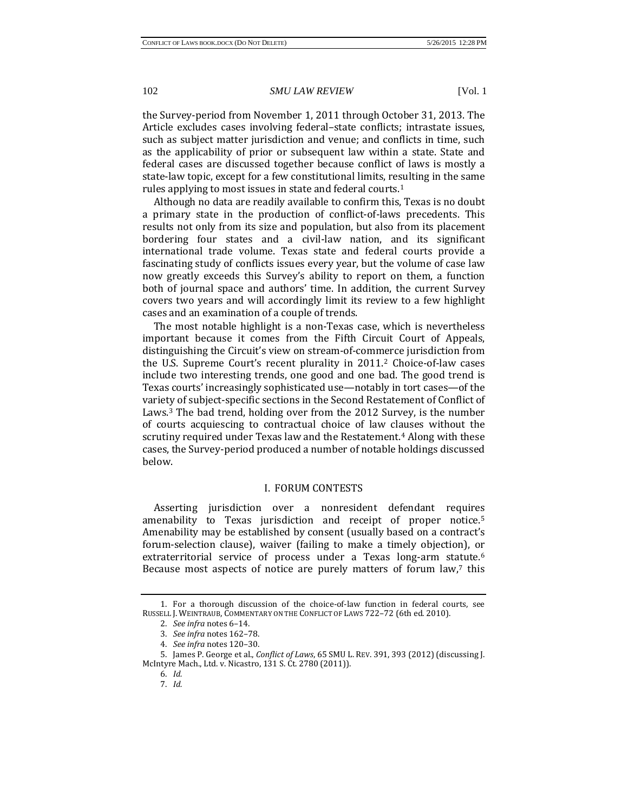the Survey-period from November 1, 2011 through October 31, 2013. The Article excludes cases involving federal–state conflicts; intrastate issues, such as subject matter jurisdiction and venue; and conflicts in time, such as the applicability of prior or subsequent law within a state. State and federal cases are discussed together because conflict of laws is mostly a state-law topic, except for a few constitutional limits, resulting in the same rules applying to most issues in state and federal courts.[1](#page-2-0)

Although no data are readily available to confirm this, Texas is no doubt a primary state in the production of conflict-of-laws precedents. This results not only from its size and population, but also from its placement bordering four states and a civil-law nation, and its significant international trade volume. Texas state and federal courts provide a fascinating study of conflicts issues every year, but the volume of case law now greatly exceeds this Survey's ability to report on them, a function both of journal space and authors' time. In addition, the current Survey covers two years and will accordingly limit its review to a few highlight cases and an examination of a couple of trends.

The most notable highlight is a non-Texas case, which is nevertheless important because it comes from the Fifth Circuit Court of Appeals, distinguishing the Circuit's view on stream-of-commerce jurisdiction from the U.S. Supreme Court's recent plurality in 2011.[2](#page-2-1) Choice-of-law cases include two interesting trends, one good and one bad. The good trend is Texas courts' increasingly sophisticated use—notably in tort cases—of the variety of subject-specific sections in the Second Restatement of Conflict of Laws.[3](#page-2-2) The bad trend, holding over from the 2012 Survey, is the number of courts acquiescing to contractual choice of law clauses without the scrutiny required under Texas law and the Restatement.[4](#page-2-3) Along with these cases, the Survey-period produced a number of notable holdings discussed below.

#### I. FORUM CONTESTS

Asserting jurisdiction over a nonresident defendant requires amenability to Texas jurisdiction and receipt of proper notice.[5](#page-2-4) Amenability may be established by consent (usually based on a contract's forum-selection clause), waiver (failing to make a timely objection), or extr[at](#page-2-6)erritorial service of process under a Texas long-arm statute.<sup>[6](#page-2-5)</sup> Because most aspects of notice are purely matters of forum law,<sup>7</sup> this

<span id="page-2-1"></span><span id="page-2-0"></span><sup>1.</sup> For a thorough discussion of the choice-of-law function in federal courts, see RUSSELL J. WEINTRAUB, COMMENTARY ON THE CONFLICT OF LAWS 722–72 (6th ed. 2010).

<sup>2.</sup> *See infra* notes 6–14.

<sup>3.</sup> *See infra* notes 162–78.

<sup>4.</sup> *See infra* notes 120–30.

<span id="page-2-6"></span><span id="page-2-5"></span><span id="page-2-4"></span><span id="page-2-3"></span><span id="page-2-2"></span><sup>5.</sup> James P. George et al., *Conflict of Laws*, 65 SMU L. REV. 391, 393 (2012) (discussing J. McIntyre Mach., Ltd. v. Nicastro, 131 S. Ct. 2780 (2011)).

<sup>6.</sup> *Id.* 7. *Id.*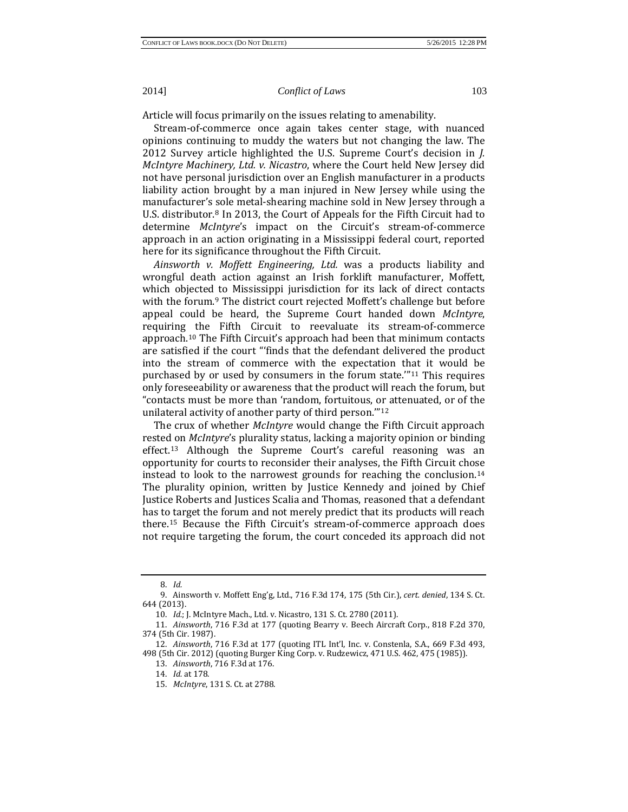Article will focus primarily on the issues relating to amenability.

Stream-of-commerce once again takes center stage, with nuanced opinions continuing to muddy the waters but not changing the law. The 2012 Survey article highlighted the U.S. Supreme Court's decision in *J. McIntyre Machinery, Ltd. v. Nicastro*, where the Court held New Jersey did not have personal jurisdiction over an English manufacturer in a products liability action brought by a man injured in New Jersey while using the manufacturer's sole metal-shearing machine sold in New Jersey through a U.S. distributor.<sup>[8](#page-3-0)</sup> In 2013, the Court of Appeals for the Fifth Circuit had to determine *McIntyre*'s impact on the Circuit's stream-of-commerce approach in an action originating in a Mississippi federal court, reported here for its significance throughout the Fifth Circuit.

*Ainsworth v. Moffett Engineering, Ltd.* was a products liability and wrongful death action against an Irish forklift manufacturer, Moffett, which objected [t](#page-3-1)o Mississippi jurisdiction for its lack of direct contacts with the forum.<sup>9</sup> The district court rejected Moffett's challenge but before appeal could be heard, the Supreme Court handed down *McIntyre*, requiring [t](#page-3-2)he Fifth Circuit to reevaluate its stream-of-commerce approach.10 The Fifth Circuit's approach had been that minimum contacts are satisfied if the court "'finds that the defendant delivered the product into the stream of commerce with the expectation that it would be purchased by or used by consumers in the forum state.'"[11](#page-3-3) This requires only foreseeability or awareness that the product will reach the forum, but "contacts must be more than 'random, fortuitous, or attenuated, or of the unilateral activity of another party of third person.'"[12](#page-3-4)

The crux of whether *McIntyre* would change the Fifth Circuit approach rested on *McIntyre*'s plurality status, lacking a majority opinion or binding effect.[13](#page-3-5) Although the Supreme Court's careful reasoning was an opportunity for courts to reconsider their analyses, the Fifth Circuit chose instead to look to the narrowest grounds for reaching the conclusion.[14](#page-3-6) The plurality opinion, written by Justice Kennedy and joined by Chief Justice Roberts and Justices Scalia and Thomas, reasoned that a defendant has to target the forum and not merely predict that its products will reach there.[15](#page-3-7) Because the Fifth Circuit's stream-of-commerce approach does not require targeting the forum, the court conceded its approach did not

<sup>8.</sup> *Id.*

<span id="page-3-1"></span><span id="page-3-0"></span><sup>9.</sup> Ainsworth v. Moffett Eng'g, Ltd., 716 F.3d 174, 175 (5th Cir.), *cert. denied*, 134 S. Ct. 644 (2013).

<sup>10.</sup> *Id.*; J. McIntyre Mach., Ltd. v. Nicastro, 131 S. Ct. 2780 (2011).

<span id="page-3-3"></span><span id="page-3-2"></span><sup>11.</sup> *Ainsworth*, 716 F.3d at 177 (quoting Bearry v. Beech Aircraft Corp., 818 F.2d 370, 374 (5th Cir. 1987).

<span id="page-3-7"></span><span id="page-3-6"></span><span id="page-3-5"></span><span id="page-3-4"></span><sup>12.</sup> *Ainsworth*, 716 F.3d at 177 (quoting ITL Int'l, Inc. v. Constenla, S.A., 669 F.3d 493, 498 (5th Cir. 2012) (quoting Burger King Corp. v. Rudzewicz, 471 U.S. 462, 475 (1985)).

<sup>13.</sup> *Ainsworth*, 716 F.3d at 176.

<sup>14.</sup> *Id.* at 178.

<sup>15.</sup> *McIntyre*, 131 S. Ct. at 2788.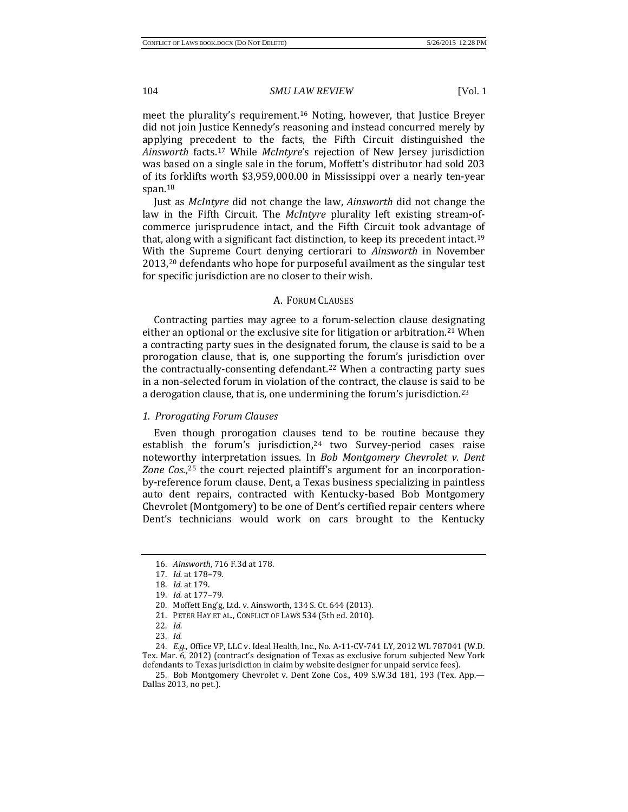meet the plurality's requirement.[16](#page-4-0) Noting, however, that Justice Breyer did not join Justice Kennedy's reasoning and instead concurred merely by applying precedent to the facts, the Fifth Circuit distinguished the *Ainsworth* facts.[17](#page-4-1) While *McIntyre*'s rejection of New Jersey jurisdiction was based on a single sale in the forum, Moffett's distributor had sold 203 of its forklifts worth \$3,959,000.00 in Mississippi over a nearly ten-year span.[18](#page-4-2)

Just as *McIntyre* did not change the law, *Ainsworth* did not change the law in the Fifth Circuit. The *McIntyre* plurality left existing stream-ofcommerce jurisprudence intact, and the Fifth Circuit took advantage of that, along with a significant fact distinction, to keep its precedent intact.[19](#page-4-3) With [th](#page-4-4)e Supreme Court denying certiorari to *Ainsworth* in November 2013,20 defendants who hope for purposeful availment as the singular test for specific jurisdiction are no closer to their wish.

#### A. FORUM CLAUSES

Contracting parties may agree to a forum-selection clause designating either an optional or the exclusive site for litigation or arbitration.[21](#page-4-5) When a contracting party sues in the designated forum, the clause is said to be a prorogation clause, that is, one supporting the forum's jurisdiction over the contractually-consenting defendant.[22](#page-4-6) When a contracting party sues in a non-selected forum in violation of the contract, the clause is said to be a derogation clause, that is, one undermining the forum's jurisdiction.[23](#page-4-7)

#### *1. Prorogating Forum Clauses*

Even though prorogation clauses tend to be routine because they establish the forum's jurisdiction,<sup>[24](#page-4-8)</sup> two Survey-period cases raise notewort[hy](#page-4-9) interpretation issues. In *Bob Montgomery Chevrolet v. Dent Zone Cos.*, <sup>25</sup> the court rejected plaintiff's argument for an incorporationby-reference forum clause. Dent, a Texas business specializing in paintless auto dent repairs, contracted with Kentucky-based Bob Montgomery Chevrolet (Montgomery) to be one of Dent's certified repair centers where Dent's technicians would work on cars brought to the Kentucky

<span id="page-4-0"></span><sup>16.</sup> *Ainsworth*, 716 F.3d at 178.

<span id="page-4-1"></span><sup>17.</sup> *Id.* at 178–79.

<span id="page-4-2"></span><sup>18.</sup> *Id.* at 179.

<sup>19.</sup> *Id.* at 177–79.

<sup>20.</sup> Moffett Eng'g, Ltd. v. Ainsworth, 134 S. Ct. 644 (2013).

<sup>21.</sup> PETER HAY ET AL., CONFLICT OF LAWS 534 (5th ed. 2010).

<sup>22.</sup> *Id.*

<sup>23.</sup> *Id.*

<span id="page-4-8"></span><span id="page-4-7"></span><span id="page-4-6"></span><span id="page-4-5"></span><span id="page-4-4"></span><span id="page-4-3"></span><sup>24.</sup> *E.g.*, Office VP, LLC v. Ideal Health, Inc., No. A-11-CV-741 LY, 2012 WL 787041 (W.D. Tex. Mar. 6, 2012) (contract's designation of Texas as exclusive forum subjected New York defendants to Texas jurisdiction in claim by website designer for unpaid service fees).

<span id="page-4-9"></span><sup>25.</sup> Bob Montgomery Chevrolet v. Dent Zone Cos., 409 S.W.3d 181, 193 (Tex. App.— Dallas 2013, no pet.).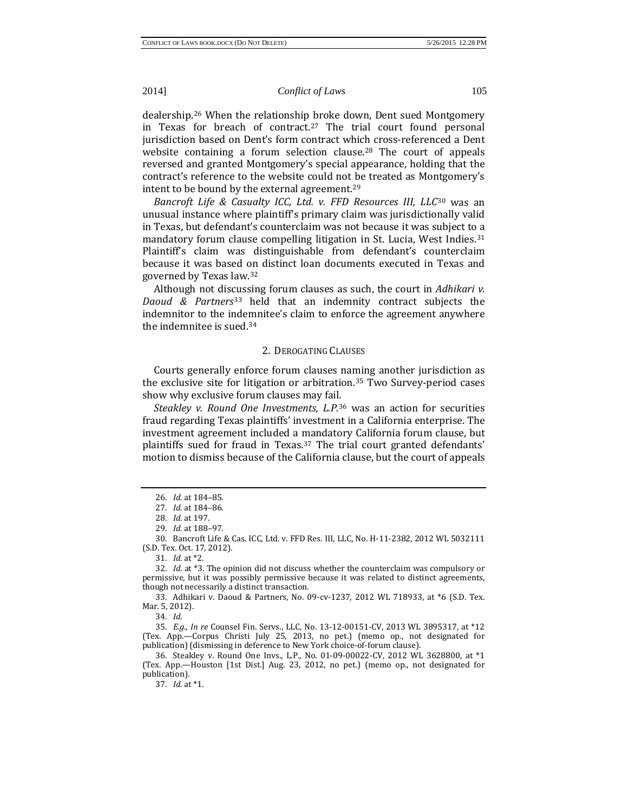dealership.[26](#page-5-0) When the relationship broke down, Dent sued Montgomery in Texas for breach of contract.<sup>[27](#page-5-1)</sup> The trial court found personal jurisdiction based on Dent's form contract which cross-referenced a Dent website containing a forum selection clause.<sup>[28](#page-5-2)</sup> The court of appeals reversed and granted Montgomery's special appearance, holding that the contract's reference to the website could not be treated as Montgomery's intent to be bound by the external agreement.[29](#page-5-3)

*Bancroft Life & Casualty ICC, Ltd. v. FFD Resources III, LLC*<sup>30</sup> was an unusual instance where plaintiff's primary claim was jurisdictio[na](#page-5-4)lly valid in Texas, but defendant's counterclaim was not because it was subject to a mandatory forum clause compelling litigation in St. Lucia, West Indies.[31](#page-5-5) Plaintiff's claim was distinguishable from defendant's counterclaim because it was based on distinct loan documents executed in Texas and governed by Texas law.[32](#page-5-6)

Although not dis[cu](#page-5-7)ssing forum clauses as such, the court in *Adhikari v. Daoud & Partners*<sup>33</sup> held that an indemnity contract subjects the indemnitor to the indemnitee's claim to enforce the agreement anywhere the indemnitee is sued.[34](#page-5-8)

#### 2. DEROGATING CLAUSES

Courts generally enforce forum clauses na[mi](#page-5-9)ng another jurisdiction as the exclusive site for litigation or arbitration.35 Two Survey-period cases show why exclusive forum clauses may fail.

*Steakley v. Round One Investments, L.P.*<sup>36</sup> was an action for securities fraud regarding Texas plaintiffs' investme[nt](#page-5-10) in a California enterprise. The investment agreement included a mandatory California forum clause, but plaintiffs sued for fraud in Texas.<sup>[37](#page-5-11)</sup> The trial court granted defendants' motion to dismiss because of the California clause, but the court of appeals

37. *Id.* at \*1.

<sup>26.</sup> *Id.* at 184–85.

<sup>27.</sup> *Id.* at 184–86.

<sup>28.</sup> *Id.* at 197.

<sup>29.</sup> *Id.* at 188–97.

<span id="page-5-4"></span><span id="page-5-3"></span><span id="page-5-2"></span><span id="page-5-1"></span><span id="page-5-0"></span><sup>30.</sup> Bancroft Life & Cas. ICC, Ltd. v. FFD Res. III, LLC, No. H-11-2382, 2012 WL 5032111 (S.D. Tex. Oct. 17, 2012).

<sup>31.</sup> *Id.* at \*2.

<span id="page-5-6"></span><span id="page-5-5"></span><sup>32.</sup> *Id.* at \*3. The opinion did not discuss whether the counterclaim was compulsory or permissive, but it was possibly permissive because it was related to distinct agreements, though not necessarily a distinct transaction.

<span id="page-5-7"></span><sup>33.</sup> Adhikari v. Daoud & Partners, No. 09-cv-1237, 2012 WL 718933, at \*6 (S.D. Tex. Mar. 5, 2012).

<sup>34.</sup> *Id.*

<span id="page-5-9"></span><span id="page-5-8"></span><sup>35.</sup> *E.g.*, *In re* Counsel Fin. Servs., LLC, No. 13-12-00151-CV, 2013 WL 3895317, at \*12 (Tex. App.—Corpus Christi July 25, 2013, no pet.) (memo op., not designated for publication) (dismissing in deference to New York choice-of-forum clause).

<span id="page-5-11"></span><span id="page-5-10"></span><sup>36.</sup> Steakley v. Round One Invs., L.P., No. 01-09-00022-CV, 2012 WL 3628800, at \*1 (Tex. App.—Houston [1st Dist.] Aug. 23, 2012, no pet.) (memo op., not designated for publication).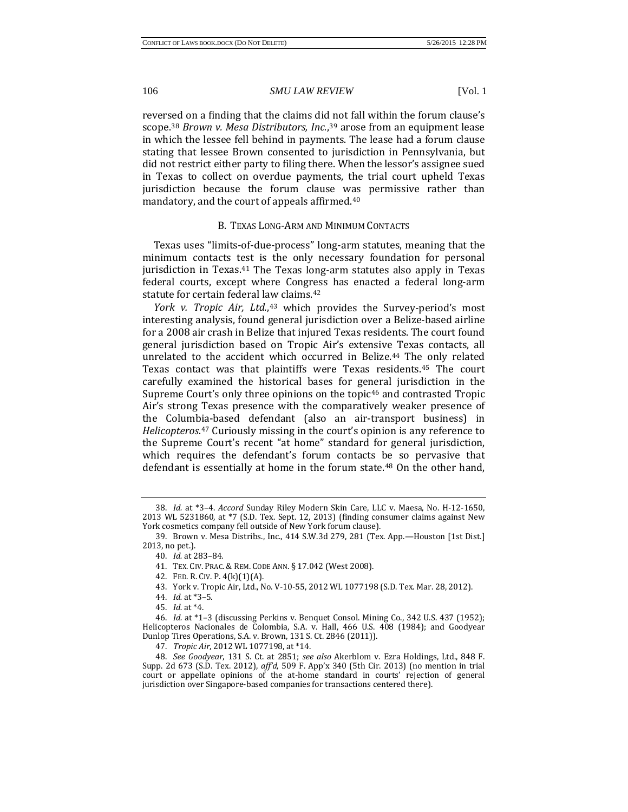reversed on a finding that the claims did not fall within the forum clause's scope.[38](#page-6-0) *Brown v. Mesa Distributors, Inc.*[,39](#page-6-1) arose from an equipment lease in which the lessee fell behind in payments. The lease had a forum clause stating that lessee Brown consented to jurisdiction in Pennsylvania, but did not restrict either party to filing there. When the lessor's assignee sued in Texas to collect on overdue payments, the trial court upheld Texas jurisdiction because the forum clause was permissive rather than mandatory, and the court of appeals affirmed.[40](#page-6-2)

# B. TEXAS LONG-ARM AND MINIMUM CONTACTS

Texas uses "limits-of-due-process" long-arm statutes, meaning that the minimum contacts t[es](#page-6-3)t is the only necessary foundation for personal jurisdiction in Texas.<sup>41</sup> The Texas long-arm statutes also apply in Texas federal courts, except where Congress has enacted a federal long-arm statute for certain federal l[aw](#page-6-5) claims.[42](#page-6-4)

*York v. Tropic Air, Ltd.*,43 which provides the Survey-period's most interesting analysis, found general jurisdiction over a Belize-based airline for a 2008 air crash in Belize that injured Texas residents. The court found general jurisdiction based on Tropic Air's extensive Texas contacts, all unrelated to the accident which occurred in Belize.<sup>[44](#page-6-6)</sup> The only related Texas contact was that plaintiffs were Texas residents[.45](#page-6-7) The court carefully examined the historical bases for general jurisdiction in the Supreme Court's only three opinions on the topic<sup>[46](#page-6-8)</sup> and contrasted Tropic Air's strong Texas presence with the comparatively weaker presence of the Columbia-based defendant (also an air-transport business) in *Helicopteros*.[47](#page-6-9) Curiously missing in the court's opinion is any reference to the Supreme Court's recent "at home" standard for general jurisdiction, which requires the defendant's forum contacts be so pervasive that defendant is essentially at home in the forum state.<sup>[48](#page-6-10)</sup> On the other hand,

43. York v. Tropic Air, Ltd., No. V-10-55, 2012 WL 1077198 (S.D. Tex. Mar. 28, 2012).

<span id="page-6-0"></span><sup>38.</sup> *Id.* at \*3–4. *Accord* Sunday Riley Modern Skin Care, LLC v. Maesa, No. H-12-1650, 2013 WL 5231860, at \*7 (S.D. Tex. Sept. 12, 2013) (finding consumer claims against New York cosmetics company fell outside of New York forum clause).

<span id="page-6-3"></span><span id="page-6-2"></span><span id="page-6-1"></span><sup>39.</sup> Brown v. Mesa Distribs., Inc., 414 S.W.3d 279, 281 (Tex. App.—Houston [1st Dist.] 2013, no pet.).

<sup>40.</sup> *Id.* at 283–84.

<sup>41.</sup> TEX. CIV. PRAC. & REM. CODE ANN. § 17.042 (West 2008).

<sup>42.</sup> FED. R. CIV. P. 4(k)(1)(A).

<sup>44.</sup> *Id.* at \*3–5.

<sup>45.</sup> *Id.* at \*4.

<span id="page-6-8"></span><span id="page-6-7"></span><span id="page-6-6"></span><span id="page-6-5"></span><span id="page-6-4"></span><sup>46.</sup> *Id.* at \*1–3 (discussing Perkins v. Benquet Consol. Mining Co., 342 U.S. 437 (1952); Helicopteros Nacionales de Colombia, S.A. v. Hall, 466 U.S. 408 (1984); and Goodyear Dunlop Tires Operations, S.A. v. Brown, 131 S. Ct. 2846 (2011)).

<sup>47.</sup> *Tropic Air*, 2012 WL 1077198, at \*14.

<span id="page-6-10"></span><span id="page-6-9"></span><sup>48.</sup> *See Goodyear*, 131 S. Ct. at 2851; *see also* Akerblom v. Ezra Holdings, Ltd., 848 F. Supp. 2d 673 (S.D. Tex. 2012), *aff'd*, 509 F. App'x 340 (5th Cir. 2013) (no mention in trial court or appellate opinions of the at-home standard in courts' rejection of general jurisdiction over Singapore-based companies for transactions centered there).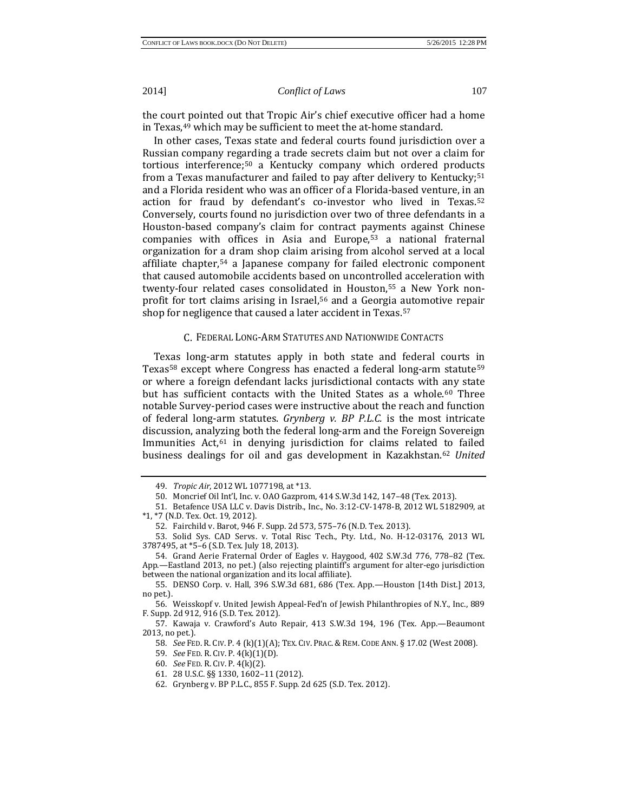the court pointed out that Tropic Air's chief executive officer had a home in Texas,[49](#page-7-0) which may be sufficient to meet the at-home standard.

In other cases, Texas state and federal courts found jurisdiction over a Russian company reg[ard](#page-7-1)ing a trade secrets claim but not over a claim for tortious interference;50 a Kentucky company which ordered products from a Texas manufacturer and failed to pay after delivery to Kentucky;[51](#page-7-2) and a Florida resident who was an officer of a Florida-based venture, in an action for fraud by defendant's co-investor who lived in Texas.[52](#page-7-3) Conversely, courts found no jurisdiction over two of three defendants in a Houston-based company's claim for contract payments against Chinese companies with offices in Asia and Europe[,53](#page-7-4) a national fraternal organization for a dram shop claim arising from alcohol served at a local affiliate chapter[,54](#page-7-5) a Japanese company for failed electronic component that caused automobile accidents based on uncontrol[led](#page-7-6) acceleration with twenty-four related cases consolidat[ed](#page-7-7) in Houston,55 a New York nonprofit for tort claims arising in Israel,56 and a Georgia [au](#page-7-8)tomotive repair shop for negligence that caused a later accident in Texas.<sup>57</sup>

### C. FEDERAL LONG-ARM STATUTES AND NATIONWIDE CONTACTS

Texas long-arm statutes apply in both state and federal courts in Texas<sup>58</sup> except where Congress has enacted a federal long-arm statute<sup>[59](#page-7-10)</sup> or where a foreign defendant lacks jurisdictional contacts with [an](#page-7-11)y state but has sufficient contacts with the United States as a whole.<sup>60</sup> Three notable Survey-period cases were instructive about the reach and function of federal long-arm statutes. *Grynberg v. BP P.L.C.* is the most intricate discussion, anal[yzi](#page-7-12)ng both the federal long-arm and the Foreign Sovereign Immunities Act,<sup>61</sup> in denying jurisdiction for claims related to failed business dealings for oil and gas development in Kazakhstan[.62](#page-7-13) *United* 

59. *See* FED. R. CIV. P. 4(k)(1)(D).

<sup>49.</sup> *Tropic Air*, 2012 WL 1077198, at \*13.

<sup>50.</sup> Moncrief Oil Int'l, Inc. v. OAO Gazprom, 414 S.W.3d 142, 147–48 (Tex. 2013).

<span id="page-7-2"></span><span id="page-7-1"></span><span id="page-7-0"></span><sup>51.</sup> Betafence USA LLC v. Davis Distrib., Inc., No. 3:12-CV-1478-B, 2012 WL 5182909, at \*1, \*7 (N.D. Tex. Oct. 19, 2012).

<sup>52.</sup> Fairchild v. Barot, 946 F. Supp. 2d 573, 575–76 (N.D. Tex. 2013).

<span id="page-7-4"></span><span id="page-7-3"></span><sup>53.</sup> Solid Sys. CAD Servs. v. Total Risc Tech., Pty. Ltd., No. H-12-03176, 2013 WL 3787495, at \*5–6 (S.D. Tex. July 18, 2013).

<span id="page-7-5"></span><sup>54.</sup> Grand Aerie Fraternal Order of Eagles v. Haygood, 402 S.W.3d 776, 778–82 (Tex. App.—Eastland 2013, no pet.) (also rejecting plaintiff's argument for alter-ego jurisdiction between the national organization and its local affiliate).

<span id="page-7-6"></span><sup>55.</sup> DENSO Corp. v. Hall, 396 S.W.3d 681, 686 (Tex. App.—Houston [14th Dist.] 2013, no pet.).

<span id="page-7-7"></span><sup>56.</sup> Weisskopf v. United Jewish Appeal-Fed'n of Jewish Philanthropies of N.Y., Inc., 889 F. Supp. 2d 912, 916 (S.D. Tex. 2012).

<span id="page-7-12"></span><span id="page-7-11"></span><span id="page-7-10"></span><span id="page-7-9"></span><span id="page-7-8"></span><sup>57.</sup> Kawaja v. Crawford's Auto Repair, 413 S.W.3d 194, 196 (Tex. App.—Beaumont 2013, no pet.).

<sup>58.</sup> *See* FED. R. CIV. P. 4 (k)(1)(A); TEX. CIV. PRAC. & REM. CODE ANN. § 17.02 (West 2008).

<sup>60.</sup> *See* FED. R. CIV. P. 4(k)(2).

<sup>61.</sup> 28 U.S.C. §§ 1330, 1602–11 (2012).

<span id="page-7-13"></span><sup>62.</sup> Grynberg v. BP P.L.C., 855 F. Supp. 2d 625 (S.D. Tex. 2012).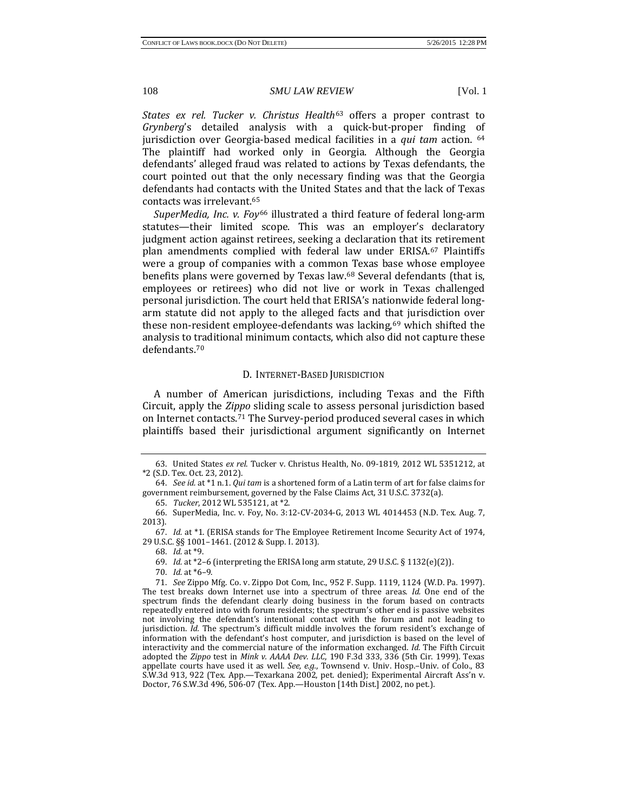*States ex rel. Tucker v. Christus Health*<sup>63</sup> offers a proper contrast to *Grynberg*'s detailed analysis with a [q](#page-8-0)uick-but-proper finding of jurisdiction over Georgia-based medical facilities in a *qui tam* action. [64](#page-8-1) The plaintiff had worked only in Georgia. Although the Georgia defendants' alleged fraud was related to actions by Texas defendants, the court pointed out that the only necessary finding was that the Georgia defendants had contacts with the United States and that the lack of Texas contacts was irrelevant.[65](#page-8-2)

*SuperMedia, Inc. v. Foy*<sup>66</sup> illustrated a third feature of federal long-arm statutes—their limited [sc](#page-8-3)ope. This was an employer's declaratory judgment action against retirees, seeking a declaration that it[s r](#page-8-4)etirement plan amendments complied with federal law under ERISA.67 Plaintiffs were a group of companies with a common Texas base whose employee benefits plans were governed by Texas law.<sup>68</sup> Several defendants (that is, employees or retirees) who did not live or work in Texas challenged personal jurisdiction. The court held that ERISA's nationwide federal longarm statute did not apply to the alleged facts and that jurisdiction over these non-resident employee-defendants was lacking, $69$  which shifted the analysis to traditional minimum contacts, which also did not capture these defendants.[70](#page-8-7)

#### D. INTERNET-BASED JURISDICTION

A number of American jurisdictions, including Texas and the Fifth Circuit, apply the *Zippo* sliding scale to assess personal jurisdiction based on Internet contacts.[71](#page-8-8) The Survey-period produced several cases in which plaintiffs based their jurisdictional argument significantly on Internet

68. *Id.* at \*9.

69. *Id.* at \*2–6 (interpreting the ERISA long arm statute, 29 U.S.C. § 1132(e)(2)).

<span id="page-8-0"></span><sup>63.</sup> United States *ex rel*. Tucker v. Christus Health, No. 09-1819, 2012 WL 5351212, at \*2 (S.D. Tex. Oct. 23, 2012).

<span id="page-8-1"></span><sup>64.</sup> *See id.* at \*1 n.1. *Qui tam* is a shortened form of a Latin term of art for false claims for government reimbursement, governed by the False Claims Act, 31 U.S.C. 3732(a).

<sup>65.</sup> *Tucker*, 2012 WL 535121, at \*2.

<span id="page-8-3"></span><span id="page-8-2"></span><sup>66.</sup> SuperMedia, Inc. v. Foy, No. 3:12-CV-2034-G, 2013 WL 4014453 (N.D. Tex. Aug. 7, 2013).

<span id="page-8-5"></span><span id="page-8-4"></span><sup>67.</sup> *Id.* at \*1. (ERISA stands for The Employee Retirement Income Security Act of 1974, 29 U.S.C. §§ 1001–1461. (2012 & Supp. I. 2013).

<sup>70.</sup> *Id.* at \*6–9.

<span id="page-8-8"></span><span id="page-8-7"></span><span id="page-8-6"></span><sup>71.</sup> *See* Zippo Mfg. Co. v. Zippo Dot Com, Inc., 952 F. Supp. 1119, 1124 (W.D. Pa. 1997). The test breaks down Internet use into a spectrum of three areas. *Id.* One end of the spectrum finds the defendant clearly doing business in the forum based on contracts repeatedly entered into with forum residents; the spectrum's other end is passive websites not involving the defendant's intentional contact with the forum and not leading to jurisdiction. *Id.* The spectrum's difficult middle involves the forum resident's exchange of information with the defendant's host computer, and jurisdiction is based on the level of interactivity and the commercial nature of the information exchanged. *Id.* The Fifth Circuit adopted the *Zippo* test in *Mink v. AAAA Dev. LLC*, 190 F.3d 333, 336 (5th Cir. 1999). Texas appellate courts have used it as well. *See, e.g.*, Townsend v. Univ. Hosp.–Univ. of Colo., 83 S.W.3d 913, 922 (Tex. App.—Texarkana 2002, pet. denied); Experimental Aircraft Ass'n v. Doctor, 76 S.W.3d 496, 506-07 (Tex. App.—Houston [14th Dist.] 2002, no pet.).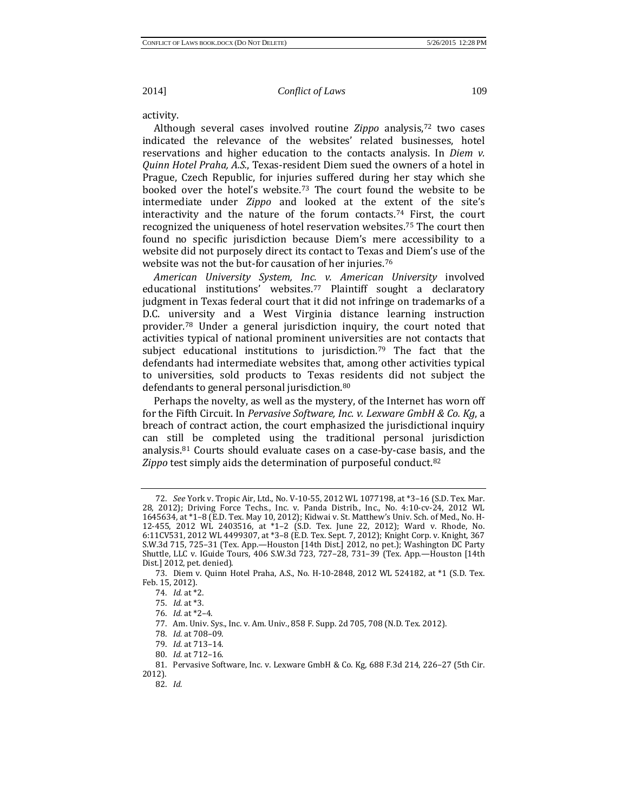activity.

Although several cases involved routine *Zippo* analysis,[72](#page-9-0) two cases indicated the relevance of the websites' related businesses, hotel reservations and higher education to the contacts analysis. In *Diem v. Quinn Hotel Praha, A.S.*, Texas-resident Diem sued the owners of a hotel in Prague, Czech Republic, for injuries suffered during her stay which she booked over the hotel's website.[73](#page-9-1) The court found the website to be intermediate under *Zippo* and looked at the extent of the site's interactivity and the nature of the forum contacts.<sup>[74](#page-9-2)</sup> First, the court recognized the uniqueness of hotel reservation websites.[75](#page-9-3) The court then found no specific jurisdiction because Diem's mere accessibility to a website did not purposely direct its contact to Texas and Diem's use of the website was not the but-for causation of her injuries.<sup>76</sup>

*American University System, In[c.](#page-9-5) v. American University* involved educational institutions' websites.<sup>77</sup> Plaintiff sought a declaratory judgment in Texas federal court that it did not infringe on trademarks of a D.C. uni[ve](#page-9-6)rsity and a West Virginia distance learning instruction provider.78 Under a general jurisdiction inquiry, the court noted that activities typical of national prominent universiti[es](#page-9-7) are not contacts that subject educational institutions to jurisdiction.<sup>79</sup> The fact that the defendants had intermediate websites that, among other activities typical to universities, sold products to Texas residents did not subject the defendants to general personal jurisdiction.<sup>[80](#page-9-8)</sup>

Perhaps the novelty, as well as the mystery, of the Internet has worn off for the Fifth Circuit. In *Pervasive Software, Inc. v. Lexware GmbH & Co. Kg*, a breach of contract action, the court emphasized the jurisdictional inquiry can stil[l](#page-9-9) be completed using the traditional personal jurisdiction analysis.81 Courts should evaluate cases on a case-by-case basis, and the *Zippo* test simply aids the determination of purposeful conduct[.82](#page-9-10)

<span id="page-9-0"></span><sup>72.</sup> *See* York v. Tropic Air, Ltd., No. V-10-55, 2012 WL 1077198, at \*3–16 (S.D. Tex. Mar. 28, 2012); Driving Force Techs., Inc. v. Panda Distrib., Inc., No. 4:10-cv-24, 2012 WL 1645634, at \*1–8 (E.D. Tex. May 10, 2012); Kidwai v. St. Matthew's Univ. Sch. of Med., No. H-12-455, 2012 WL 2403516, at \*1–2 (S.D. Tex. June 22, 2012); Ward v. Rhode, No. 6:11CV531, 2012 WL 4499307, at \*3–8 (E.D. Tex. Sept. 7, 2012); Knight Corp. v. Knight, 367 S.W.3d 715, 725–31 (Tex. App.—Houston [14th Dist.] 2012, no pet.); Washington DC Party Shuttle, LLC v. IGuide Tours, 406 S.W.3d 723, 727–28, 731–39 (Tex. App.—Houston [14th Dist.] 2012, pet. denied).

<span id="page-9-4"></span><span id="page-9-3"></span><span id="page-9-2"></span><span id="page-9-1"></span><sup>73.</sup> Diem v. Quinn Hotel Praha, A.S., No. H-10-2848, 2012 WL 524182, at \*1 (S.D. Tex. Feb. 15, 2012).

<sup>74.</sup> *Id.* at \*2.

<sup>75.</sup> *Id.* at \*3.

<sup>76.</sup> *Id.* at \*2–4.

<sup>77.</sup> Am. Univ. Sys., Inc. v. Am. Univ., 858 F. Supp. 2d 705, 708 (N.D. Tex. 2012).

<sup>78.</sup> *Id.* at 708–09.

<sup>79.</sup> *Id.* at 713–14.

<sup>80.</sup> *Id.* at 712–16.

<span id="page-9-10"></span><span id="page-9-9"></span><span id="page-9-8"></span><span id="page-9-7"></span><span id="page-9-6"></span><span id="page-9-5"></span><sup>81.</sup> Pervasive Software, Inc. v. Lexware GmbH & Co. Kg, 688 F.3d 214, 226–27 (5th Cir. 2012).

<sup>82.</sup> *Id.*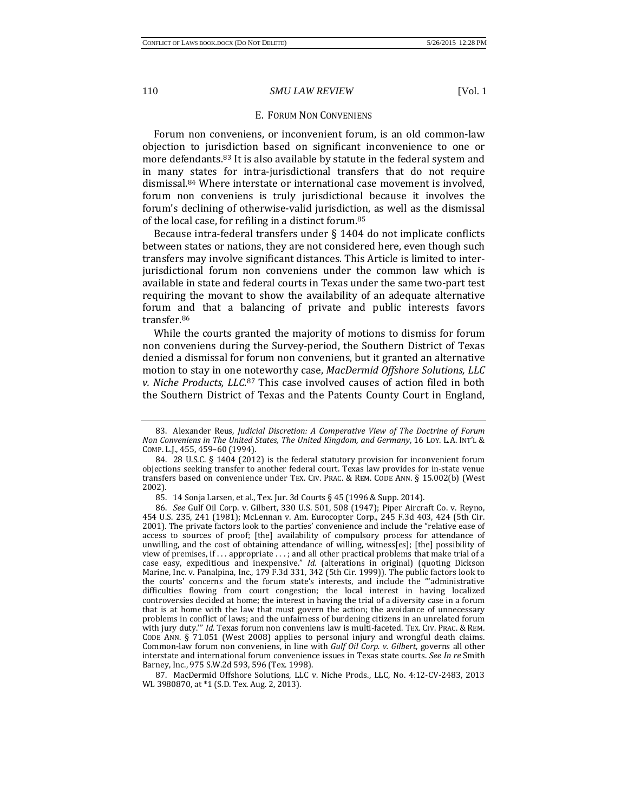#### E. FORUM NON CONVENIENS

Forum non conveniens, or inconvenient forum, is an old common-law objection to jurisdiction based on significant inconvenience to one or more defendants.[83](#page-10-0) It is also available by statute in the federal system and in many states for intra-jurisdictional transfers that do not require dismissal[.84](#page-10-1) Where interstate or international case movement is involved, forum non conveniens is truly jurisdictional because it involves the forum's declining of otherwise-valid jurisdiction, as well as the dismissal of the local case, for refiling in a distinct forum.[85](#page-10-2)

Because intra-federal transfers under § 1404 do not implicate conflicts between states or nations, they are not considered here, even though such transfers may involve significant distances. This Article is limited to interjurisdictional forum non conveniens under the common law which is available in state and federal courts in Texas under the same two-part test requiring the movant to show the availability of an adequate alternative forum and that a balancing of private and public interests favors transfer.<sup>[86](#page-10-3)</sup>

While the courts granted the majority of motions to dismiss for forum non conveniens during the Survey-period, the Southern District of Texas denied a dismissal for forum non conveniens, but it granted an alternative motion to stay in one noteworthy case, *MacDermid Offshore Solutions, LLC v. Niche Products, LLC*.[87](#page-10-4) This case involved causes of action filed in both the Southern District of Texas and the Patents County Court in England,

<span id="page-10-0"></span><sup>83.</sup> Alexander Reus, *Judicial Discretion: A Comperative View of The Doctrine of Forum Non Conveniens in The United States, The United Kingdom, and Germany*, 16 LOY. L.A. INT'L & COMP. L.J., 455, 459–60 (1994).

<span id="page-10-1"></span><sup>84.</sup> 28 U.S.C. § 1404 (2012) is the federal statutory provision for inconvenient forum objections seeking transfer to another federal court. Texas law provides for in-state venue transfers based on convenience under TEX. CIV. PRAC. & REM. CODE ANN. § 15.002(b) (West 2002).

<sup>85.</sup> 14 Sonja Larsen, et al., Tex. Jur. 3d Courts § 45 (1996 & Supp. 2014).

<span id="page-10-3"></span><span id="page-10-2"></span><sup>86.</sup> *See* Gulf Oil Corp. v. Gilbert, 330 U.S. 501, 508 (1947); Piper Aircraft Co. v. Reyno, 454 U.S. 235, 241 (1981); McLennan v. Am. Eurocopter Corp., 245 F.3d 403, 424 (5th Cir. 2001). The private factors look to the parties' convenience and include the "relative ease of access to sources of proof; [the] availability of compulsory process for attendance of unwilling, and the cost of obtaining attendance of willing, witness[es]; [the] possibility of view of premises, if . . . appropriate . . . ; and all other practical problems that make trial of a case easy, expeditious and inexpensive." *Id.* (alterations in original) (quoting Dickson Marine, Inc. v. Panalpina, Inc., 179 F.3d 331, 342 (5th Cir. 1999)). The public factors look to the courts' concerns and the forum state's interests, and include the "'administrative difficulties flowing from court congestion; the local interest in having localized controversies decided at home; the interest in having the trial of a diversity case in a forum that is at home with the law that must govern the action; the avoidance of unnecessary problems in conflict of laws; and the unfairness of burdening citizens in an unrelated forum with jury duty.'" *Id.* Texas forum non conveniens law is multi-faceted. TEX. CIV. PRAC. & REM. CODE ANN. § 71.051 (West 2008) applies to personal injury and wrongful death claims. Common-law forum non conveniens, in line with *Gulf Oil Corp. v. Gilbert*, governs all other interstate and international forum convenience issues in Texas state courts. *See In re* Smith Barney, Inc., 975 S.W.2d 593, 596 (Tex. 1998).

<span id="page-10-4"></span><sup>87.</sup> MacDermid Offshore Solutions, LLC v. Niche Prods., LLC, No. 4:12-CV-2483, 2013 WL 3980870, at \*1 (S.D. Tex. Aug. 2, 2013).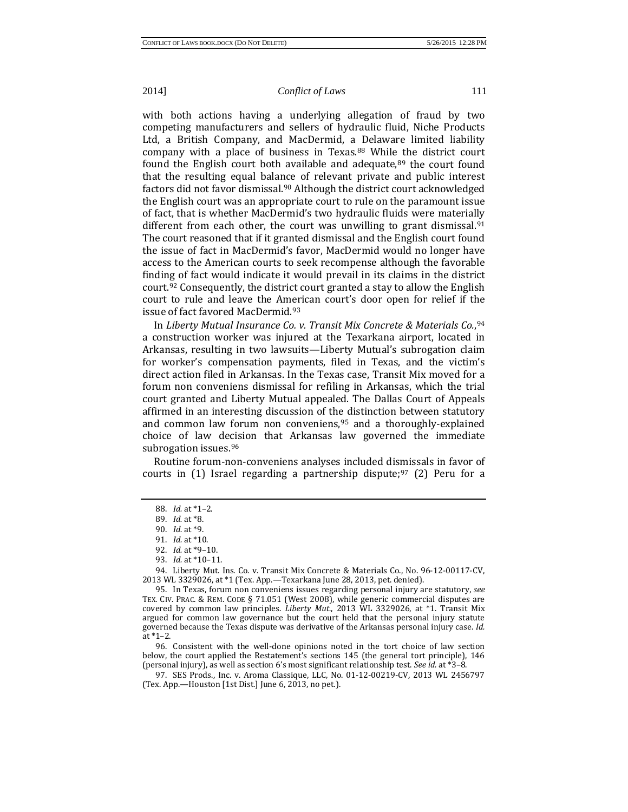with both actions having a underlying allegation of fraud by two competing manufacturers and sellers of hydraulic fluid, Niche Products Ltd, a British Company, and MacDermid, a Delaware limited liability company with a place of business in Texas.<sup>[88](#page-11-0)</sup> While the district court found the English court both available and adequate, $89$  the court found that the resulting equal balance of relevant private and public interest factors did not favor dismissal.[90](#page-11-2) Although the district court acknowledged the English court was an appropriate court to rule on the paramount issue of fact, that is whether MacDermid's two hydraulic fluids were materially different from each other, the court was unwilling to grant dismissal.<sup>[91](#page-11-3)</sup> The court reasoned that if it granted dismissal and the English court found the issue of fact in MacDermid's favor, MacDermid would no longer have access to the American courts to seek recompense although the favorable finding of fact would indicate it would prevail in its claims in the district court[.92](#page-11-4) Consequently, the district court granted a stay to allow the English court to rule and leave the American court's door open for relief if the issue of fact favored MacDermid.[93](#page-11-5)

In *Liberty Mutual Insurance Co. v. Transit Mix Concrete & Materials Co.*,[94](#page-11-6) a construction worker was injured at the Texarkana airport, located in Arkansas, resulting in two lawsuits—Liberty Mutual's subrogation claim for worker's compensation payments, filed in Texas, and the victim's direct action filed in Arkansas. In the Texas case, Transit Mix moved for a forum non conveniens dismissal for refiling in Arkansas, which the trial court granted and Liberty Mutual appealed. The Dallas Court of Appeals affirmed in an interesting discussion of the distinction between statutory and common law forum non conveniens, $95$  and a thoroughly-explained choice of law decision that Arkansas law governed the immediate subrogation issues.<sup>96</sup>

<span id="page-11-0"></span>Routine forum-non-conveniens analyses included dismissals in favor of courts in  $(1)$  Israel regarding a partnership dispute;<sup>[97](#page-11-9)</sup>  $(2)$  Peru for a

<span id="page-11-7"></span><span id="page-11-6"></span><span id="page-11-5"></span><span id="page-11-4"></span><span id="page-11-3"></span><span id="page-11-2"></span><span id="page-11-1"></span>94. Liberty Mut. Ins. Co. v. Transit Mix Concrete & Materials Co., No. 96-12-00117-CV, 2013 WL 3329026, at \*1 (Tex. App.—Texarkana June 28, 2013, pet. denied).

95. In Texas, forum non conveniens issues regarding personal injury are statutory, *see* TEX. CIV. PRAC. & REM. CODE § 71.051 (West 2008), while generic commercial disputes are covered by common law principles. *Liberty Mut.*, 2013 WL 3329026, at \*1. Transit Mix argued for common law governance but the court held that the personal injury statute governed because the Texas dispute was derivative of the Arkansas personal injury case. *Id.* at \*1–2.

<span id="page-11-8"></span>96. Consistent with the well-done opinions noted in the tort choice of law section below, the court applied the Restatement's sections 145 (the general tort principle), 146 (personal injury), as well as section 6's most significant relationship test. *See id.* at \*3–8.

<span id="page-11-9"></span>97. SES Prods., Inc. v. Aroma Classique, LLC, No. 01-12-00219-CV, 2013 WL 2456797 (Tex. App.—Houston [1st Dist.] June 6, 2013, no pet.).

<sup>88.</sup> *Id.* at \*1–2.

<sup>89.</sup> *Id.* at \*8.

<sup>90.</sup> *Id.* at \*9.

<sup>91.</sup> *Id.* at \*10.

<sup>92.</sup> *Id.* at \*9–10.

<sup>93.</sup> *Id.* at \*10–11.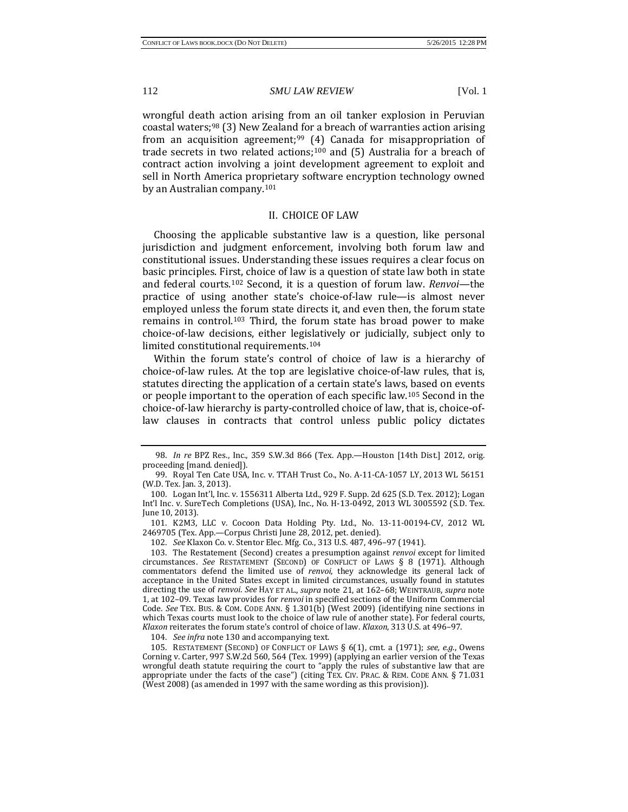wrongful death action arising from an oil tanker explosion in Peruvian coastal waters;<sup>[98](#page-12-0)</sup> (3) New Zealand for a breach of warranties action arising from an acquisition agreement;<sup>[99](#page-12-1)</sup> (4) Canada for misappropriation of trade secrets in two related actions;<sup>[100](#page-12-2)</sup> and (5) Australia for a breach of contract action involving a joint development agreement to exploit and sell in North America proprietary software encryption technology owned by an Australian company.[101](#page-12-3)

# II. CHOICE OF LAW

Choosing the applicable substantive law is a question, like personal jurisdiction and judgment enforcement, involving both forum law and constitutional issues. Understanding these issues requires a clear focus on basic principles. First, choice of law is a question of state law both in state and federal courts.[102](#page-12-4) Second, it is a question of forum law. *Renvoi*—the practice of using another state's choice-of-law rule—is almost never employed unless the forum state directs it, and even then, the forum state remains in control.[103](#page-12-5) Third, the forum state has broad power to make choice-of-law decisions, either legislatively or judicially, subject only to limited constitutional requirements.[104](#page-12-6)

Within the forum state's control of choice of law is a hierarchy of choice-of-law rules. At the top are legislative choice-of-law rules, that is, statutes directing the application of a certain state's laws, based on events or people important to the operation of each specific law.[105](#page-12-7) Second in the choice-of-law hierarchy is party-controlled choice of law, that is, choice-oflaw clauses in contracts that control unless public policy dictates

<span id="page-12-3"></span>101. K2M3, LLC v. Cocoon Data Holding Pty. Ltd., No. 13-11-00194-CV, 2012 WL 2469705 (Tex. App.—Corpus Christi June 28, 2012, pet. denied).

102. *See* Klaxon Co. v. Stentor Elec. Mfg. Co., 313 U.S. 487, 496–97 (1941).

<span id="page-12-5"></span><span id="page-12-4"></span>103. The Restatement (Second) creates a presumption against *renvoi* except for limited circumstances. *See* RESTATEMENT (SECOND) OF CONFLICT OF LAWS § 8 (1971). Although commentators defend the limited use of *renvoi*, they acknowledge its general lack of acceptance in the United States except in limited circumstances, usually found in statutes directing the use of *renvoi*. *See* HAY ET AL., *supra* note 21, at 162–68; WEINTRAUB, *supra* note 1, at 102–09. Texas law provides for *renvoi* in specified sections of the Uniform Commercial Code. *See* TEX. BUS. & COM. CODE ANN. § 1.301(b) (West 2009) (identifying nine sections in which Texas courts must look to the choice of law rule of another state). For federal courts, *Klaxon* reiterates the forum state's control of choice of law. *Klaxon*, 313 U.S. at 496–97.

104. *See infra* note 130 and accompanying text.

<span id="page-12-7"></span><span id="page-12-6"></span>105. RESTATEMENT (SECOND) OF CONFLICT OF LAWS § 6(1), cmt. a (1971); *see, e.g.*, Owens Corning v. Carter, 997 S.W.2d 560, 564 (Tex. 1999) (applying an earlier version of the Texas wrongful death statute requiring the court to "apply the rules of substantive law that are appropriate under the facts of the case") (citing TEX. CIV. PRAC. & REM. CODE ANN. § 71.031 (West 2008) (as amended in 1997 with the same wording as this provision)).

<span id="page-12-0"></span><sup>98.</sup> *In re* BPZ Res., Inc., 359 S.W.3d 866 (Tex. App.—Houston [14th Dist.] 2012, orig. proceeding [mand. denied]).

<span id="page-12-1"></span><sup>99.</sup> Royal Ten Cate USA, Inc. v. TTAH Trust Co., No. A-11-CA-1057 LY, 2013 WL 56151 (W.D. Tex. Jan. 3, 2013).

<span id="page-12-2"></span><sup>100.</sup> Logan Int'l, Inc. v. 1556311 Alberta Ltd., 929 F. Supp. 2d 625 (S.D. Tex. 2012); Logan Int'l Inc. v. SureTech Completions (USA), Inc., No. H-13-0492, 2013 WL 3005592 (S.D. Tex. June 10, 2013).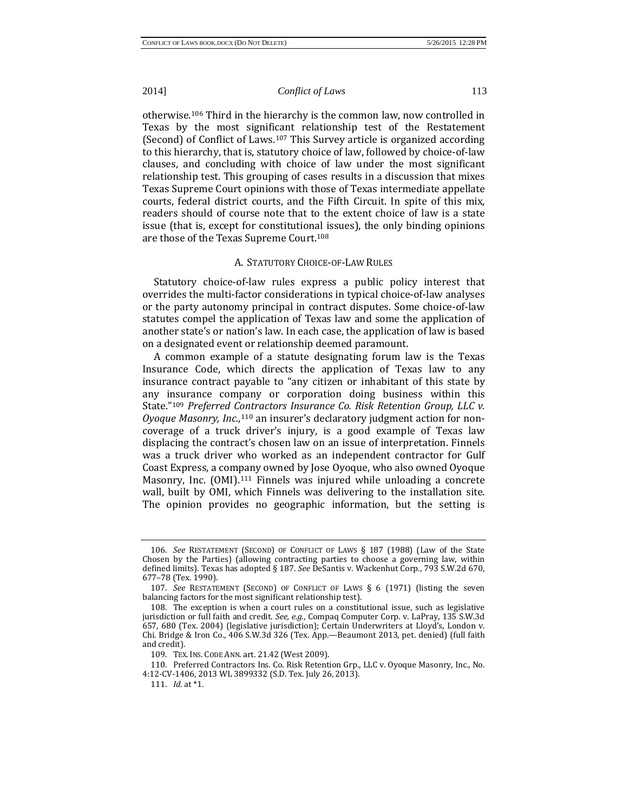otherwise.[106](#page-13-0) Third in the hierarchy is the common law, now controlled in Texas by the most significant relationship test of the Restatement (Second) of Conflict of Laws.[107](#page-13-1) This Survey article is organized according to this hierarchy, that is, statutory choice of law, followed by choice-of-law clauses, and concluding with choice of law under the most significant relationship test. This grouping of cases results in a discussion that mixes Texas Supreme Court opinions with those of Texas intermediate appellate courts, federal district courts, and the Fifth Circuit. In spite of this mix, readers should of course note that to the extent choice of law is a state issue (that is, except for constitutional issues), the only binding opinions are those of the Texas Supreme Court.[108](#page-13-2)

#### A. STATUTORY CHOICE-OF-LAW RULES

Statutory choice-of-law rules express a public policy interest that overrides the multi-factor considerations in typical choice-of-law analyses or the party autonomy principal in contract disputes. Some choice-of-law statutes compel the application of Texas law and some the application of another state's or nation's law. In each case, the application of law is based on a designated event or relationship deemed paramount.

A common example of a statute designating forum law is the Texas Insurance Code, which directs the application of Texas law to any insurance contract payable to "any citizen or inhabitant of this state by any insurance company or corporation doing business within this State."[109](#page-13-3) *Preferred Contractors Insurance Co. Risk Retention Group, LLC v. Oyoque Masonry, Inc.*,[110](#page-13-4) an insurer's declaratory judgment action for noncoverage of a truck driver's injury, is a good example of Texas law displacing the contract's chosen law on an issue of interpretation. Finnels was a truck driver who worked as an independent contractor for Gulf Coast Express, a company owned by Jose Oyoque, who also owned Oyoque Masonry, Inc. (OMI).<sup>111</sup> Finnels was injured while unloading a concrete wall, built by OMI, which Finnels was delivering to the installation site. The opinion provides no geographic information, but the setting is

<span id="page-13-0"></span><sup>106.</sup> *See* RESTATEMENT (SECOND) OF CONFLICT OF LAWS § 187 (1988) (Law of the State Chosen by the Parties) (allowing contracting parties to choose a governing law, within defined limits). Texas has adopted § 187. *See* DeSantis v. Wackenhut Corp., 793 S.W.2d 670, 677–78 (Tex. 1990).

<span id="page-13-1"></span><sup>107.</sup> *See* RESTATEMENT (SECOND) OF CONFLICT OF LAWS § 6 (1971) (listing the seven balancing factors for the most significant relationship test).

<span id="page-13-2"></span><sup>108.</sup> The exception is when a court rules on a constitutional issue, such as legislative jurisdiction or full faith and credit. *See, e.g.*, Compaq Computer Corp. v. LaPray, 135 S.W.3d 657, 680 (Tex. 2004) (legislative jurisdiction); Certain Underwriters at Lloyd's, London v. Chi. Bridge & Iron Co., 406 S.W.3d 326 (Tex. App.—Beaumont 2013, pet. denied) (full faith and credit).

<sup>109.</sup> TEX. INS. CODE ANN. art. 21.42 (West 2009).

<span id="page-13-5"></span><span id="page-13-4"></span><span id="page-13-3"></span><sup>110.</sup> Preferred Contractors Ins. Co. Risk Retention Grp., LLC v. Oyoque Masonry, Inc., No. 4:12-CV-1406, 2013 WL 3899332 (S.D. Tex. July 26, 2013).

<sup>111.</sup> *Id.* at \*1.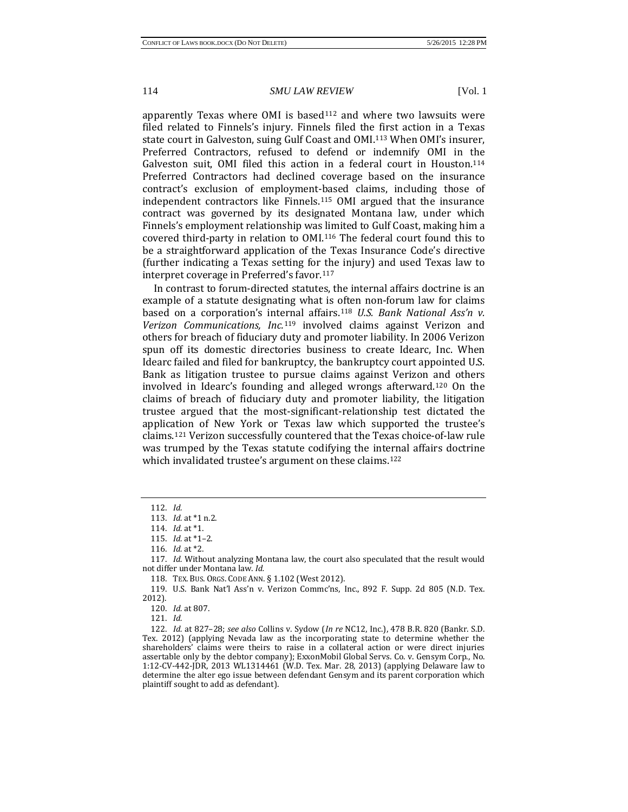apparently Texas where  $OMI$  is based<sup>[112](#page-14-0)</sup> and where two lawsuits were filed related to Finnels's injury. Finnels filed the first action in a Texas state court in Galveston, suing Gulf Coast and OMI[.113](#page-14-1) When OMI's insurer, Preferred Contractors, refused to defend or indemnify OMI in the Galveston suit, OMI filed this action in a federal court in Houston[.114](#page-14-2) Preferred Contractors had declined coverage based on the insurance contract's exclusion of employment-based claims, including those of independent contractors like Finnels.[115](#page-14-3) OMI argued that the insurance contract was governed by its designated Montana law, under which Finnels's employment relationship was limited to Gulf Coast, making him a covered third-party in relation to OMI[.116](#page-14-4) The federal court found this to be a straightforward application of the Texas Insurance Code's directive (further indicating a Texas setting for the injury) and used Texas law to interpret coverage in Preferred's favor[.117](#page-14-5)

In contrast to forum-directed statutes, the internal affairs doctrine is an example of a statute designating what is often non-forum law for claims based on a corporation's int[erna](#page-14-7)l affairs.[118](#page-14-6) *U.S. Bank National Ass'n v. Verizon Communications, Inc.*<sup>119</sup> involved claims against Verizon and others for breach of fiduciary duty and promoter liability. In 2006 Verizon spun off its domestic directories business to create Idearc, Inc. When Idearc failed and filed for bankruptcy, the bankruptcy court appointed U.S. Bank as litigation trustee to pursue claims against Verizon and others involved in Idearc's founding and alleged wrongs afterward.[120](#page-14-8) On the claims of breach of fiduciary duty and promoter liability, the litigation trustee argued that the most-significant-relationship test dictated the application of New York or Texas law which supported the trustee's claims[.121](#page-14-9) Verizon successfully countered that the Texas choice-of-law rule was trumped by the Texas statute codifying the internal affairs doctrine which invalidated trustee's argument on these claims.<sup>[122](#page-14-10)</sup>

<span id="page-14-8"></span><span id="page-14-7"></span><span id="page-14-6"></span>119. U.S. Bank Nat'l Ass'n v. Verizon Commc'ns, Inc., 892 F. Supp. 2d 805 (N.D. Tex. 2012).

<span id="page-14-0"></span><sup>112.</sup> *Id.*

<sup>113.</sup> *Id.* at \*1 n.2.

<sup>114.</sup> *Id.* at \*1.

<sup>115.</sup> *Id.* at \*1–2.

<sup>116.</sup> *Id.* at \*2.

<span id="page-14-5"></span><span id="page-14-4"></span><span id="page-14-3"></span><span id="page-14-2"></span><span id="page-14-1"></span><sup>117.</sup> *Id.* Without analyzing Montana law, the court also speculated that the result would not differ under Montana law. *Id.*

<sup>118.</sup> TEX. BUS. ORGS. CODE ANN. § 1.102 (West 2012).

<sup>120.</sup> *Id.* at 807.

<sup>121.</sup> *Id.*

<span id="page-14-10"></span><span id="page-14-9"></span><sup>122.</sup> *Id.* at 827–28; *see also* Collins v. Sydow (*In re* NC12, Inc.), 478 B.R. 820 (Bankr. S.D. Tex. 2012) (applying Nevada law as the incorporating state to determine whether the shareholders' claims were theirs to raise in a collateral action or were direct injuries assertable only by the debtor company); ExxonMobil Global Servs. Co. v. Gensym Corp., No. 1:12-CV-442-JDR, 2013 WL1314461 (W.D. Tex. Mar. 28, 2013) (applying Delaware law to determine the alter ego issue between defendant Gensym and its parent corporation which plaintiff sought to add as defendant).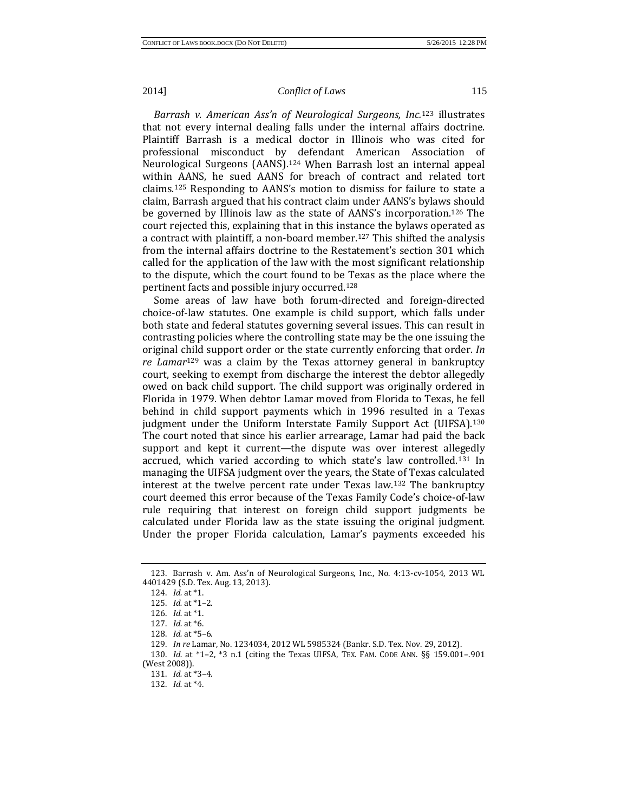*Barrash v. American Ass'n of Neurological Surgeons, Inc.*<sup>123</sup> illustrates that not every internal dealing falls under the internal aff[air](#page-15-0)s doctrine. Plaintiff Barrash is a medical doctor in Illinois who was cited for professional misconduct by defendant American Association of Neurological Surgeons (AANS).[124](#page-15-1) When Barrash lost an internal appeal within AANS, he sued AANS for breach of contract and related tort claims[.125](#page-15-2) Responding to AANS's motion to dismiss for failure to state a claim, Barrash argued that his contract claim under AANS's bylaws should be governed by Illinois law as the state of AANS's incorporation.[126](#page-15-3) The court rejected this, explaining that in this instance the bylaws operated as a contract with plaintiff, a non-board member.[127](#page-15-4) This shifted the analysis from the internal affairs doctrine to the Restatement's section 301 which called for the application of the law with the most significant relationship to the dispute, which the court found to be Texas as the place where the pertinent facts and possible injury occurred.[128](#page-15-5)

Some areas of law have both forum-directed and foreign-directed choice-of-law statutes. One example is child support, which falls under both state and federal statutes governing several issues. This can result in contrasting policies where the controlling state may be the one issuing the original c[hild](#page-15-6) support order or the state currently enforcing that order. *In re Lamar*<sup>129</sup> was a claim by the Texas attorney general in bankruptcy court, seeking to exempt from discharge the interest the debtor allegedly owed on back child support. The child support was originally ordered in Florida in 1979. When debtor Lamar moved from Florida to Texas, he fell behind in child support payments which in 1996 resulted in a Texas judgment under the Uniform Interstate Family Support Act (UIFSA).<sup>[130](#page-15-7)</sup> The court noted that since his earlier arrearage, Lamar had paid the back support and kept it current—the dispute was over interest allegedly accrued, which varied according to which state's law controlled.[131](#page-15-8) In managing the UIFSA judgment over the years, the State of Texas calculated interest at the twelve percent rate under Texas law.[132](#page-15-9) The bankruptcy court deemed this error because of the Texas Family Code's choice-of-law rule requiring that interest on foreign child support judgments be calculated under Florida law as the state issuing the original judgment. Under the proper Florida calculation, Lamar's payments exceeded his

<span id="page-15-3"></span><span id="page-15-2"></span><span id="page-15-1"></span><span id="page-15-0"></span><sup>123.</sup> Barrash v. Am. Ass'n of Neurological Surgeons, Inc., No. 4:13-cv-1054, 2013 WL 4401429 (S.D. Tex. Aug. 13, 2013).

<sup>124.</sup> *Id.* at \*1.

<sup>125.</sup> *Id.* at \*1–2.

<sup>126.</sup> *Id.* at \*1.

<sup>127.</sup> *Id.* at \*6.

<sup>128.</sup> *Id.* at \*5–6.

<sup>129.</sup> *In re* Lamar, No. 1234034, 2012 WL 5985324 (Bankr. S.D. Tex. Nov. 29, 2012).

<span id="page-15-9"></span><span id="page-15-8"></span><span id="page-15-7"></span><span id="page-15-6"></span><span id="page-15-5"></span><span id="page-15-4"></span><sup>130.</sup> *Id.* at \*1–2, \*3 n.1 (citing the Texas UIFSA, TEX. FAM. CODE ANN. §§ 159.001–.901 (West 2008)).

<sup>131.</sup> *Id.* at \*3–4.

<sup>132.</sup> *Id.* at \*4.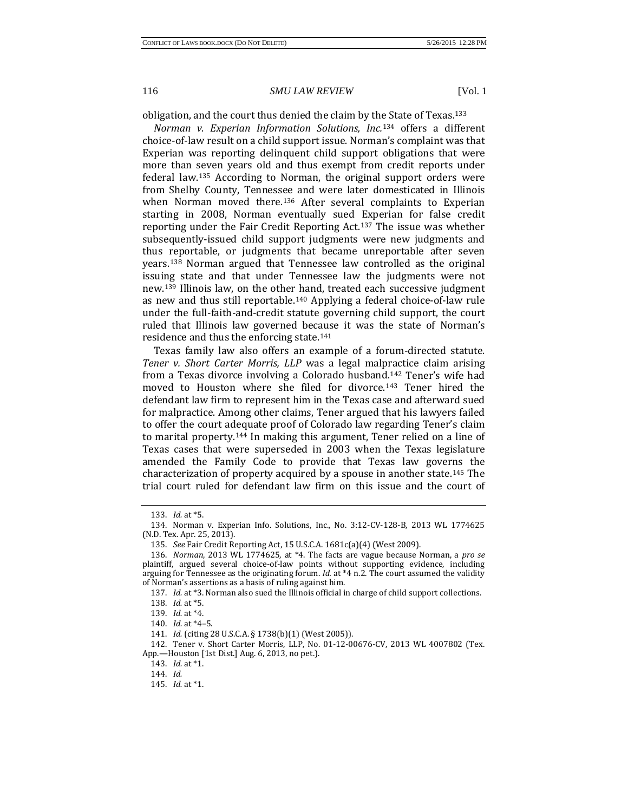obligation, and the court thus denied the claim by th[e St](#page-16-1)ate of Texas.[133](#page-16-0)

*Norman v. Experian Information Solutions, Inc.*<sup>134</sup> offers a different choice-of-law result on a child support issue. Norman's complaint was that Experian was reporting delinquent child support obligations that were more than seven years old and thus exempt from credit reports under federal law.[135](#page-16-2) According to Norman, the original support orders were from Shelby County, Tennessee and were later domesticated in Illinois when Norman moved there.<sup>[136](#page-16-3)</sup> After several complaints to Experian starting in 2008, Norman eventually sued Experian for false credit reporting under the Fair Credit Reporting Act.[137](#page-16-4) The issue was whether subsequently-issued child support judgments were new judgments and thus reportable, or judgments that became unreportable after seven years.[138](#page-16-5) Norman argued that Tennessee law controlled as the original issuing state and that under Tennessee law the judgments were not new.[139](#page-16-6) Illinois law, on the other hand, treated each successive judgment as new and thus still reportable[.140](#page-16-7) Applying a federal choice-of-law rule under the full-faith-and-credit statute governing child support, the court ruled that Illinois law governed because it was the state of Norman's residence and thus the enforcing state.[141](#page-16-8)

Texas family law also offers an example of a forum-directed statute. *Tener v. Short Carter Morris, LLP* was a legal malpractice claim arising from a Texas divorce involving a Colorado husban[d.1](#page-16-10)[42](#page-16-9) Tener's wife had moved to Houston where she filed for divorce.143 Tener hired the defendant law firm to represent him in the Texas case and afterward sued for malpractice. Among other claims, Tener argued that his lawyers failed to offer the court adequate proof of Colorado law regarding Tener's claim to marital property.[144](#page-16-11) In making this argument, Tener relied on a line of Texas cases that were superseded in 2003 when the Texas legislature amended the Family Code to provide that Texas law governs the characterization of property acquired by a spouse in another state[.145](#page-16-12) The trial court ruled for defendant law firm on this issue and the court of

<sup>133.</sup> *Id.* at \*5.

<span id="page-16-1"></span><span id="page-16-0"></span><sup>134.</sup> Norman v. Experian Info. Solutions, Inc., No. 3:12-CV-128-B, 2013 WL 1774625 (N.D. Tex. Apr. 25, 2013).

<sup>135.</sup> *See* Fair Credit Reporting Act, 15 U.S.C.A. 1681c(a)(4) (West 2009).

<span id="page-16-4"></span><span id="page-16-3"></span><span id="page-16-2"></span><sup>136.</sup> *Norman*, 2013 WL 1774625, at \*4. The facts are vague because Norman, a *pro se* plaintiff, argued several choice-of-law points without supporting evidence, including arguing for Tennessee as the originating forum. *Id.* at \*4 n.2. The court assumed the validity of Norman's assertions as a basis of ruling against him.

<sup>137.</sup> *Id.* at \*3. Norman also sued the Illinois official in charge of child support collections.

<sup>138.</sup> *Id.* at \*5.

<sup>139.</sup> *Id.* at \*4.

<sup>140.</sup> *Id.* at \*4–5.

<sup>141.</sup> *Id.* (citing 28 U.S.C.A. § 1738(b)(1) (West 2005)).

<span id="page-16-12"></span><span id="page-16-11"></span><span id="page-16-10"></span><span id="page-16-9"></span><span id="page-16-8"></span><span id="page-16-7"></span><span id="page-16-6"></span><span id="page-16-5"></span><sup>142.</sup> Tener v. Short Carter Morris, LLP, No. 01-12-00676-CV, 2013 WL 4007802 (Tex. App.—Houston [1st Dist.] Aug. 6, 2013, no pet.).

<sup>143.</sup> *Id.* at \*1.

<sup>144.</sup> *Id.*

<sup>145.</sup> *Id.* at \*1.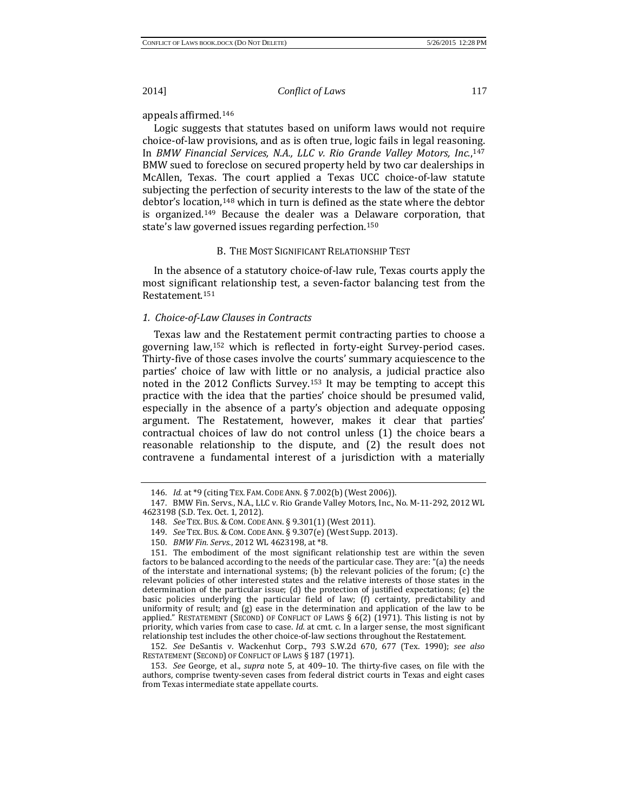appeals affirmed.[146](#page-17-0)

Logic suggests that statutes based on uniform laws would not require choice-of-law provisions, and as is often true, logic fails in legal reasoning. In *BMW Financial Services, N.A., LLC v. Rio Grande Valley Motors, Inc.*[,147](#page-17-1) BMW sued to foreclose on secured property held by two car dealerships in McAllen, Texas. The court applied a Texas UCC choice-of-law statute subjecting the perfection of security interests to the law of the state of the debtor's loca[tion](#page-17-3),<sup>[148](#page-17-2)</sup> which in turn is defined as the state where the debtor is organized.149 Because the dealer was a Delaware corporation, that state's law governed issues regarding perfection.[150](#page-17-4)

#### B. THE MOST SIGNIFICANT RELATIONSHIP TEST

In the absence of a statutory choice-of-law rule, Texas courts apply the most significant relationship test, a seven-factor balancing test from the Restatement[.151](#page-17-5)

# *1. Choice-of-Law Clauses in Contracts*

Texas law and the Restatement permit contracting parties to choose a governing law,[152](#page-17-6) which is reflected in forty-eight Survey-period cases. Thirty-five of those cases involve the courts' summary acquiescence to the parties' choice of law with little or no analysis, a judicial practice also noted in the 2012 Conflicts Survey.[153](#page-17-7) It may be tempting to accept this practice with the idea that the parties' choice should be presumed valid, especially in the absence of a party's objection and adequate opposing argument. The Restatement, however, makes it clear that parties' contractual choices of law do not control unless (1) the choice bears a reasonable relationship to the dispute, and (2) the result does not contravene a fundamental interest of a jurisdiction with a materially

<span id="page-17-6"></span>152. *See* DeSantis v. Wackenhut Corp., 793 S.W.2d 670, 677 (Tex. 1990); *see also* RESTATEMENT (SECOND) OF CONFLICT OF LAWS § 187 (1971).

<span id="page-17-7"></span>153. *See* George, et al., *supra* note 5, at 409–10. The thirty-five cases, on file with the authors, comprise twenty-seven cases from federal district courts in Texas and eight cases from Texas intermediate state appellate courts.

<sup>146.</sup> *Id.* at \*9 (citing TEX. FAM. CODE ANN. § 7.002(b) (West 2006)).

<span id="page-17-2"></span><span id="page-17-1"></span><span id="page-17-0"></span><sup>147.</sup> BMW Fin. Servs., N.A., LLC v. Rio Grande Valley Motors, Inc., No. M-11-292, 2012 WL 4623198 (S.D. Tex. Oct. 1, 2012).

<sup>148.</sup> *See* TEX. BUS. & COM. CODE ANN. § 9.301(1) (West 2011).

<sup>149.</sup> *See* TEX. BUS. & COM. CODE ANN. § 9.307(e) (West Supp. 2013).

<sup>150.</sup> *BMW Fin. Servs*., 2012 WL 4623198, at \*8.

<span id="page-17-5"></span><span id="page-17-4"></span><span id="page-17-3"></span><sup>151.</sup> The embodiment of the most significant relationship test are within the seven factors to be balanced according to the needs of the particular case. They are: "(a) the needs of the interstate and international systems; (b) the relevant policies of the forum; (c) the relevant policies of other interested states and the relative interests of those states in the determination of the particular issue; (d) the protection of justified expectations; (e) the basic policies underlying the particular field of law; (f) certainty, predictability and uniformity of result; and (g) ease in the determination and application of the law to be applied." RESTATEMENT (SECOND) OF CONFLICT OF LAWS § 6(2) (1971). This listing is not by priority, which varies from case to case. *Id.* at cmt. c. In a larger sense, the most significant relationship test includes the other choice-of-law sections throughout the Restatement.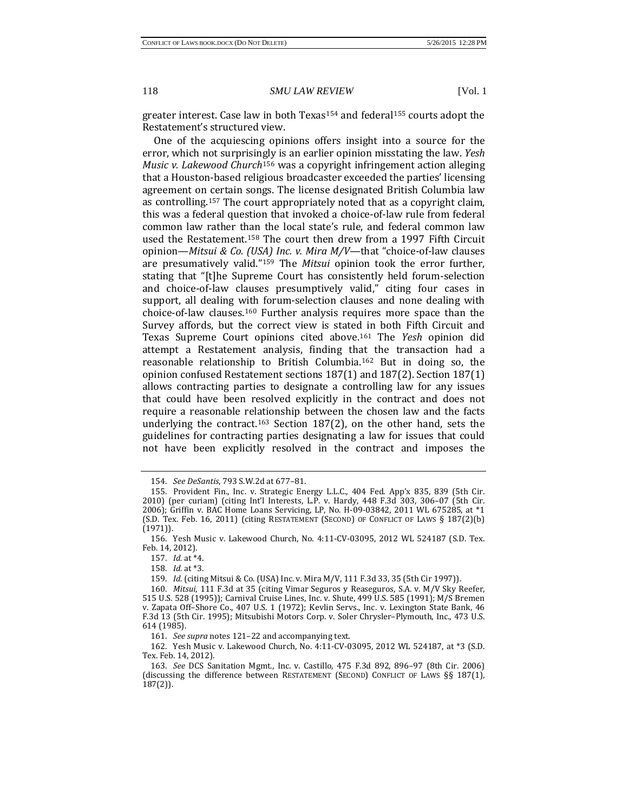greater interest. Case law in both Texas[154](#page-18-0) and federal[155](#page-18-1) courts adopt the Restatement's structured view.

One of the acquiescing opinions offers insight into a source for the error, which not surprisi[ngly](#page-18-2) is an earlier opinion misstating the law. *Yesh Music v. Lakewood Church*<sup>156</sup> was a copyright infringement action alleging that a Houston-based religious broadcaster exceeded the parties' licensing agreement on certain songs. The license designated British Columbia law as controlling[.157](#page-18-3) The court appropriately noted that as a copyright claim, this was a federal question that invoked a choice-of-law rule from federal common law rather than the local state's rule, and federal common law used the Restatement.[158](#page-18-4) The court then drew from a 1997 Fifth Circuit opinion—*Mitsui & Co. (USA) Inc. v. Mira M/V*—that "choice-of-law clauses are presumatively valid."[159](#page-18-5) The *Mitsui* opinion took the error further, stating that "[t]he Supreme Court has consistently held forum-selection and choice-of-law clauses presumptively valid," citing four cases in support, all dealing with forum-selection clauses and none dealing with choice-of-law clauses.[160](#page-18-6) Further analysis requires more space than the Survey affords, but the correct view is stated in both Fifth Circuit and Texas Supreme Court opinions cited above.[161](#page-18-7) The *Yesh* opinion did attempt a Restatement analysis, finding that the transaction had a reasonable relationship to British Columbia.[162](#page-18-8) But in doing so, the opinion confused Restatement sections 187(1) and 187(2). Section 187(1) allows contracting parties to designate a controlling law for any issues that could have been resolved explicitly in the contract and does not require a reasonable relationship between the chosen law and the facts underlying the contract.[163](#page-18-9) Section 187(2), on the other hand, sets the guidelines for contracting parties designating a law for issues that could not have been explicitly resolved in the contract and imposes the

<sup>154.</sup> *See DeSantis*, 793 S.W.2d at 677–81.

<span id="page-18-1"></span><span id="page-18-0"></span><sup>155.</sup> Provident Fin., Inc. v. Strategic Energy L.L.C., 404 Fed. App'x 835, 839 (5th Cir. 2010) (per curiam) (citing Int'l Interests, L.P. v. Hardy, 448 F.3d 303, 306–07 (5th Cir. 2006); Griffin v. BAC Home Loans Servicing, LP, No. H-09-03842, 2011 WL 675285, at \*1 (S.D. Tex. Feb. 16, 2011) (citing RESTATEMENT (SECOND) OF CONFLICT OF LAWS § 187(2)(b) (1971)).

<span id="page-18-3"></span><span id="page-18-2"></span><sup>156.</sup> Yesh Music v. Lakewood Church, No. 4:11-CV-03095, 2012 WL 524187 (S.D. Tex. Feb. 14, 2012).

<sup>157.</sup> *Id.* at \*4.

<sup>158.</sup> *Id.* at \*3.

<sup>159.</sup> *Id.* (citing Mitsui & Co. (USA) Inc. v. Mira M/V, 111 F.3d 33, 35 (5th Cir 1997)).

<span id="page-18-6"></span><span id="page-18-5"></span><span id="page-18-4"></span><sup>160.</sup> *Mitsui*, 111 F.3d at 35 (citing Vimar Seguros y Reaseguros, S.A. v. M/V Sky Reefer, 515 U.S. 528 (1995)); Carnival Cruise Lines, Inc. v. Shute, 499 U.S. 585 (1991); M/S Bremen v. Zapata Off–Shore Co., 407 U.S. 1 (1972); Kevlin Servs., Inc. v. Lexington State Bank, 46 F.3d 13 (5th Cir. 1995); Mitsubishi Motors Corp. v. Soler Chrysler–Plymouth, Inc., 473 U.S. 614 (1985).

<sup>161.</sup> *See supra* notes 121–22 and accompanying text.

<span id="page-18-8"></span><span id="page-18-7"></span><sup>162.</sup> Yesh Music v. Lakewood Church, No. 4:11-CV-03095, 2012 WL 524187, at \*3 (S.D. Tex. Feb. 14, 2012).

<span id="page-18-9"></span><sup>163.</sup> *See* DCS Sanitation Mgmt., Inc. v. Castillo, 475 F.3d 892, 896–97 (8th Cir. 2006) (discussing the difference between RESTATEMENT (SECOND) CONFLICT OF LAWS §§ 187(1), 187(2)).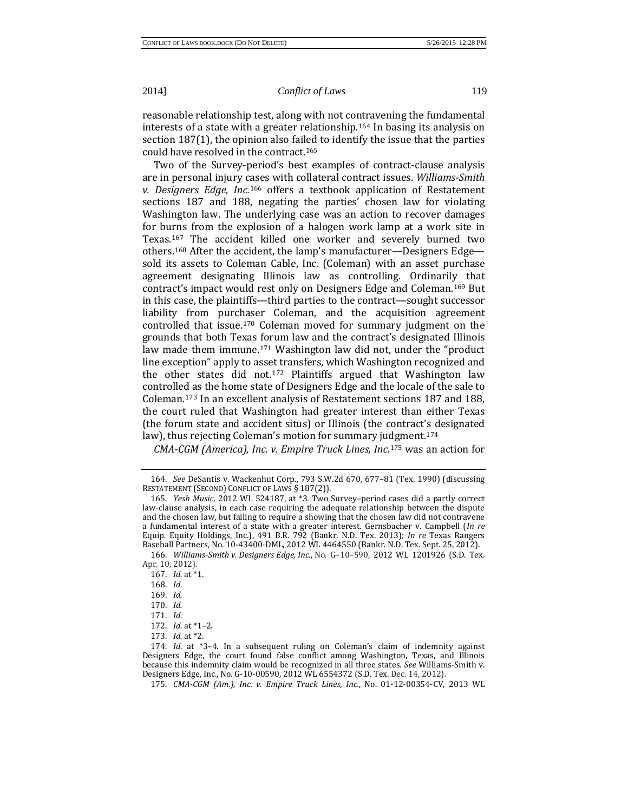reasonable relationship test, along with not contravening the fundamental interests of a state with a greater relationship.[164](#page-19-0) In basing its analysis on section 187(1), the opinion also failed to identify the issue that the parties could have resolved in the contract[.165](#page-19-1)

Two of the Survey-period's best examples of contract-clause analysis are in personal injury c[ase](#page-19-2)s with collateral contract issues. *Williams-Smith v. Designers Edge, Inc.*<sup>166</sup> offers a textbook application of Restatement sections 187 and 188, negating the parties' chosen law for violating Washington law. The underlying case was an action to recover damages for burns from the explosion of a halogen work lamp at a work site in Texas.[167](#page-19-3) The accident killed one worker and severely burned two others.[168](#page-19-4) After the accident, the lamp's manufacturer—Designers Edge sold its assets to Coleman Cable, Inc. (Coleman) with an asset purchase agreement designating Illinois law as controlling. Ordinarily that contract's impact would rest only on Designers Edge and Coleman.[169](#page-19-5) But in this case, the plaintiffs—third parties to the contract—sought successor liability from purchaser Coleman, and the acquisition agreement controlled that issue.[170](#page-19-6) Coleman moved for summary judgment on the grounds that both Texas forum law and the contract's designated Illinois law made them immune.<sup>[171](#page-19-7)</sup> Washington law did not, under the "product line exception" apply to asset transfers, which Washington recognized and the other states did not.[172](#page-19-8) Plaintiffs argued that Washington law controlled as the home state of Designers Edge and the locale of the sale to Coleman.[173](#page-19-9) In an excellent analysis of Restatement sections 187 and 188, the court ruled that Washington had greater interest than either Texas (the forum state and accident situs) or Illinois (the contract's designated law), thus rejecting Coleman's motion for summary ju[dgm](#page-19-11)ent.<sup>[174](#page-19-10)</sup>

*CMA-CGM (America), Inc. v. Empire Truck Lines, Inc.*<sup>175</sup> was an action for

175. *CMA-CGM (Am.), Inc. v. Empire Truck Lines, Inc.*, No. 01-12-00354-CV, 2013 WL

<span id="page-19-0"></span><sup>164.</sup> *See* DeSantis v. Wackenhut Corp., 793 S.W.2d 670, 677–81 (Tex. 1990) (discussing RESTATEMENT (SECOND) CONFLICT OF LAWS § 187(2)).

<span id="page-19-1"></span><sup>165.</sup> *Yesh Music*, 2012 WL 524187, at \*3. Two Survey–period cases did a partly correct law-clause analysis, in each case requiring the adequate relationship between the dispute and the chosen law, but failing to require a showing that the chosen law did not contravene a fundamental interest of a state with a greater interest. Gernsbacher v. Campbell (*In re* Equip. Equity Holdings, Inc.), 491 B.R. 792 (Bankr. N.D. Tex. 2013); *In re* Texas Rangers Baseball Partners, No. 10-43400-DML, 2012 WL 4464550 (Bankr. N.D. Tex. Sept. 25, 2012).

<span id="page-19-5"></span><span id="page-19-4"></span><span id="page-19-3"></span><span id="page-19-2"></span><sup>166.</sup> *Williams-Smith v. Designers Edge, Inc.*, No. G–10–590, 2012 WL 1201926 (S.D. Tex. Apr. 10, 2012).

<sup>167.</sup> *Id.* at \*1.

<sup>168.</sup> *Id.*

<sup>169.</sup> *Id.*

<sup>170.</sup> *Id.*

<sup>171.</sup> *Id.*

<sup>172.</sup> *Id.* at \*1–2.

<sup>173.</sup> *Id.* at \*2.

<span id="page-19-11"></span><span id="page-19-10"></span><span id="page-19-9"></span><span id="page-19-8"></span><span id="page-19-7"></span><span id="page-19-6"></span><sup>174.</sup> *Id.* at \*3–4. In a subsequent ruling on Coleman's claim of indemnity against Designers Edge, the court found false conflict among Washington, Texas, and Illinois because this indemnity claim would be recognized in all three states. *See* Williams-Smith v. Designers Edge, Inc., No. G-10-00590, 2012 WL 6554372 (S.D. Tex. Dec. 14, 2012).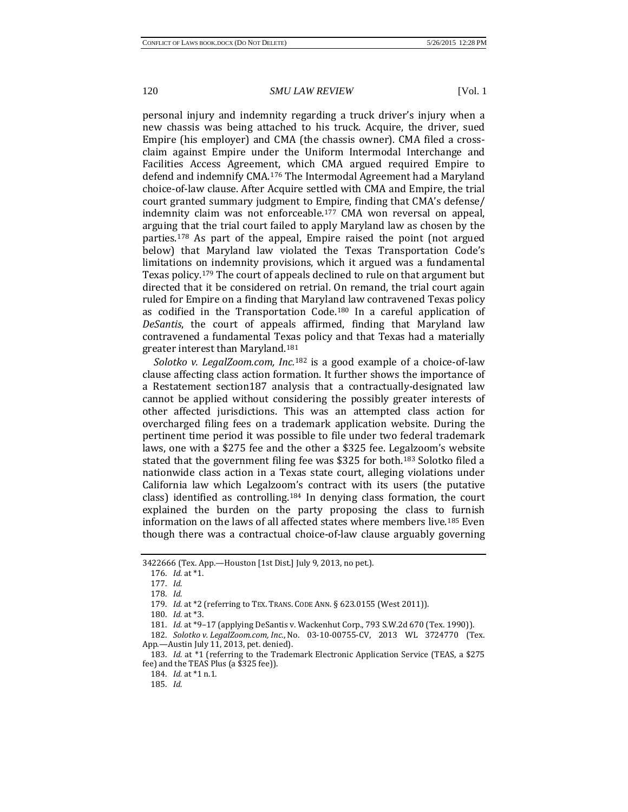personal injury and indemnity regarding a truck driver's injury when a new chassis was being attached to his truck. Acquire, the driver, sued Empire (his employer) and CMA (the chassis owner). CMA filed a crossclaim against Empire under the Uniform Intermodal Interchange and Facilities Access Agreement, which CMA argued required Empire to defend and indemnify CMA.[176](#page-20-0) The Intermodal Agreement had a Maryland choice-of-law clause. After Acquire settled with CMA and Empire, the trial court granted summary judgment to Empire, finding that CMA's defense/ indemnity claim was not enforceable.[177](#page-20-1) CMA won reversal on appeal, arguing that the trial court failed to apply Maryland law as chosen by the parties.[178](#page-20-2) As part of the appeal, Empire raised the point (not argued below) that Maryland law violated the Texas Transportation Code's limitations on indemnity provisions, which it argued was a fundamental Texas policy.[179](#page-20-3) The court of appeals declined to rule on that argument but directed that it be considered on retrial. On remand, the trial court again ruled for Empire on a finding that Maryland law contravened Texas policy as codified in the Transportation Code.[180](#page-20-4) In a careful application of *DeSantis*, the court of appeals affirmed, finding that Maryland law contravened a fundamental Texas policy and that Texas had a materially greater interest than Maryland.[181](#page-20-5)

*Solotko v. LegalZoom.com, Inc.*<sup>182</sup> is a good example of a choice-of-law clause affecting class action for[mati](#page-20-6)on. It further shows the importance of a Restatement section187 analysis that a contractually-designated law cannot be applied without considering the possibly greater interests of other affected jurisdictions. This was an attempted class action for overcharged filing fees on a trademark application website. During the pertinent time period it was possible to file under two federal trademark laws, one with a \$275 fee and the other a \$325 fee. Legalzoom's website stated that the government filing fee was \$325 for both.[183](#page-20-7) Solotko filed a nationwide class action in a Texas state court, alleging violations under California law which Legalzoom's contract with its users (the putative class) identified as controlling.<sup>[184](#page-20-8)</sup> In denying class formation, the court explained the burden on the party proposing the class to furnish information on the laws of all affected states where members live.[185](#page-20-9) Even though there was a contractual choice-of-law clause arguably governing

184. *Id.* at \*1 n.1.

<span id="page-20-2"></span><span id="page-20-1"></span><span id="page-20-0"></span><sup>3422666 (</sup>Tex. App.—Houston [1st Dist.] July 9, 2013, no pet.).

<sup>176.</sup> *Id.* at \*1.

<sup>177.</sup> *Id.*

<sup>178.</sup> *Id.*

<sup>179.</sup> *Id.* at \*2 (referring to TEX. TRANS. CODE ANN. § 623.0155 (West 2011)).

<sup>180.</sup> *Id.* at \*3.

<sup>181.</sup> *Id.* at \*9–17 (applying DeSantis v. Wackenhut Corp., 793 S.W.2d 670 (Tex. 1990)).

<span id="page-20-6"></span><span id="page-20-5"></span><span id="page-20-4"></span><span id="page-20-3"></span><sup>182.</sup> *Solotko v. LegalZoom.com, Inc.*, No. 03-10-00755-CV, 2013 WL 3724770 (Tex. App.—Austin July 11, 2013, pet. denied).

<span id="page-20-9"></span><span id="page-20-8"></span><span id="page-20-7"></span><sup>183.</sup> *Id.* at \*1 (referring to the Trademark Electronic Application Service (TEAS, a \$275 fee) and the TEAS Plus (a  $$325$  fee)).

<sup>185.</sup> *Id.*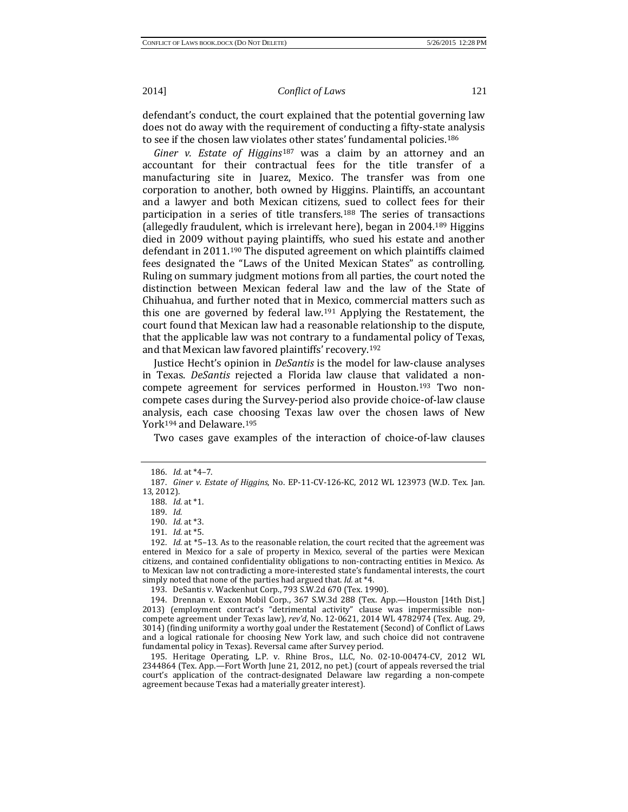defendant's conduct, the court explained that the potential governing law does not do away with the requirement of conducting a fifty-state analysis to see if the chosen law violate[s o](#page-21-1)ther states' fundamental policies.[186](#page-21-0)

*Giner v. Estate of Higgins*<sup>187</sup> was a claim by an attorney and an accountant for their contractual fees for the title transfer of a manufacturing site in Juarez, Mexico. The transfer was from one corporation to another, both owned by Higgins. Plaintiffs, an accountant and a lawyer and both Mexican citizens, sued to collect fees for their participation in a series of title transfers.[188](#page-21-2) The series of transactions (allegedly fraudulent, which is irrelevant here), began in 2004[.189](#page-21-3) Higgins died in 2009 without paying plaintiffs, who sued his estate and another defendant in 2011[.190](#page-21-4) The disputed agreement on which plaintiffs claimed fees designated the "Laws of the United Mexican States" as controlling. Ruling on summary judgment motions from all parties, the court noted the distinction between Mexican federal law and the law of the State of Chihuahua, and further noted that in Mexico, commercial matters such as this one are governed by federal law.[191](#page-21-5) Applying the Restatement, the court found that Mexican law had a reasonable relationship to the dispute, that the applicable law was not contrary to a fundamental policy of Texas, and that Mexican law favored plaintiffs' recovery.[192](#page-21-6)

Justice Hecht's opinion in *DeSantis* is the model for law-clause analyses in Texas. *DeSantis* rejected a Florida law clause that validated a noncompete agreement for services performed in Houston.[193](#page-21-7) Two noncompete cases during the Survey-period also provide choice-of-law clause analysis, each case choosing Texas law over the chosen laws of New York<sup>[194](#page-21-8)</sup> and Delaware.<sup>[195](#page-21-9)</sup>

Two cases gave examples of the interaction of choice-of-law clauses

193. DeSantis v. Wackenhut Corp., 793 S.W.2d 670 (Tex. 1990).

<span id="page-21-9"></span>195. Heritage Operating, L.P. v. Rhine Bros., LLC, No. 02-10-00474-CV, 2012 WL 2344864 (Tex. App.—Fort Worth June 21, 2012, no pet.) (court of appeals reversed the trial court's application of the contract-designated Delaware law regarding a non-compete agreement because Texas had a materially greater interest).

<sup>186.</sup> *Id.* at \*4–7.

<span id="page-21-3"></span><span id="page-21-2"></span><span id="page-21-1"></span><span id="page-21-0"></span><sup>187.</sup> *Giner v. Estate of Higgins*, No. EP-11-CV-126-KC, 2012 WL 123973 (W.D. Tex. Jan. 13, 2012).

<sup>188.</sup> *Id.* at \*1.

<sup>189.</sup> *Id.*

<sup>190.</sup> *Id.* at \*3.

<sup>191.</sup> *Id.* at \*5.

<span id="page-21-6"></span><span id="page-21-5"></span><span id="page-21-4"></span><sup>192.</sup> *Id.* at \*5–13. As to the reasonable relation, the court recited that the agreement was entered in Mexico for a sale of property in Mexico, several of the parties were Mexican citizens, and contained confidentiality obligations to non-contracting entities in Mexico. As to Mexican law not contradicting a more-interested state's fundamental interests, the court simply noted that none of the parties had argued that. *Id.* at \*4.

<span id="page-21-8"></span><span id="page-21-7"></span><sup>194.</sup> Drennan v. Exxon Mobil Corp., 367 S.W.3d 288 (Tex. App.—Houston [14th Dist.] 2013) (employment contract's "detrimental activity" clause was impermissible noncompete agreement under Texas law), *rev'd*, No. 12-0621, 2014 WL 4782974 (Tex. Aug. 29, 3014) (finding uniformity a worthy goal under the Restatement (Second) of Conflict of Laws and a logical rationale for choosing New York law, and such choice did not contravene fundamental policy in Texas). Reversal came after Survey period.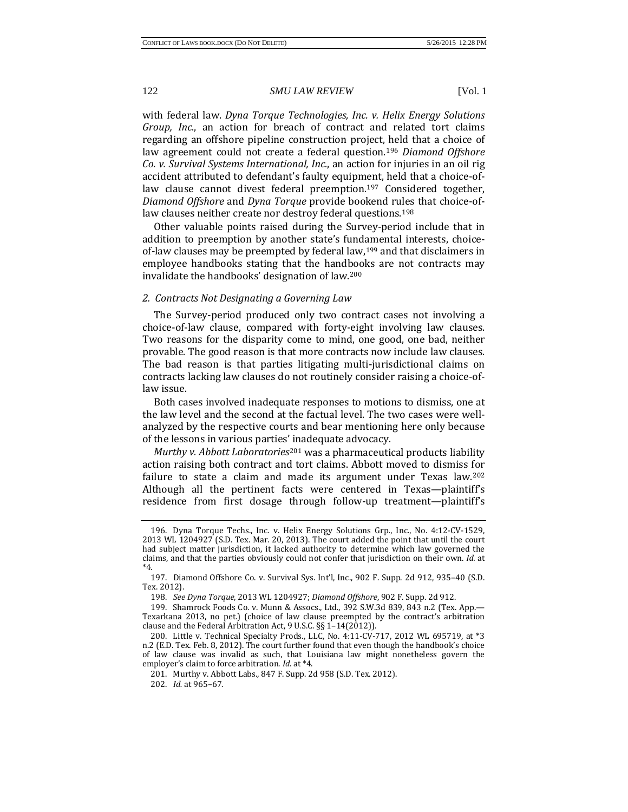with federal law. *Dyna Torque Technologies, Inc. v. Helix Energy Solutions Group, Inc.*, an action for breach of contract and related tort claims regarding an offshore pipeline construction project, held that a choice of law agreement could not create a federal question.[196](#page-22-0) *Diamond Offshore Co. v. Survival Systems International, Inc.*, an action for injuries in an oil rig accident attributed to defendant's faulty equipment, held that a choice-oflaw clause cannot divest federal preemption.[197](#page-22-1) Considered together, *Diamond Offshore* and *Dyna Torque* provide bookend rules that choice-of-law clauses neither create nor destroy federal questions.<sup>[198](#page-22-2)</sup>

Other valuable points raised during the Survey-period include that in addition to preemption by another state's fundamental interests, choiceof-law clauses may be preempted by federal law,[199](#page-22-3) and that disclaimers in employee handbooks stating that the handbooks are not contracts may invalidate the handbooks' designation of law[.200](#page-22-4)

# *2. Contracts Not Designating a Governing Law*

The Survey-period produced only two contract cases not involving a choice-of-law clause, compared with forty-eight involving law clauses. Two reasons for the disparity come to mind, one good, one bad, neither provable. The good reason is that more contracts now include law clauses. The bad reason is that parties litigating multi-jurisdictional claims on contracts lacking law clauses do not routinely consider raising a choice-oflaw issue.

Both cases involved inadequate responses to motions to dismiss, one at the law level and the second at the factual level. The two cases were wellanalyzed by the respective courts and bear mentioning here only because of the lessons in various parties' [ina](#page-22-5)dequate advocacy.

*Murthy v. Abbott Laboratories*<sup>201</sup> was a pharmaceutical products liability action raising both contract and tort claims. Abbott moved to dismiss for failure to state a claim and made its argument under Texas law.<sup>[202](#page-22-6)</sup> Although all the pertinent facts were centered in Texas—plaintiff's residence from first dosage through follow-up treatment—plaintiff's

<span id="page-22-0"></span><sup>196.</sup> Dyna Torque Techs., Inc. v. Helix Energy Solutions Grp., Inc., No. 4:12-CV-1529, 2013 WL 1204927 (S.D. Tex. Mar. 20, 2013). The court added the point that until the court had subject matter jurisdiction, it lacked authority to determine which law governed the claims, and that the parties obviously could not confer that jurisdiction on their own. *Id.* at \*4.

<span id="page-22-1"></span><sup>197.</sup> Diamond Offshore Co. v. Survival Sys. Int'l, Inc., 902 F. Supp. 2d 912, 935–40 (S.D. Tex. 2012).

<sup>198.</sup> *See Dyna Torque*, 2013 WL 1204927; *Diamond Offshore*, 902 F. Supp. 2d 912.

<span id="page-22-3"></span><span id="page-22-2"></span><sup>199.</sup> Shamrock Foods Co. v. Munn & Assocs., Ltd., 392 S.W.3d 839, 843 n.2 (Tex. App.— Texarkana 2013, no pet.) (choice of law clause preempted by the contract's arbitration clause and the Federal Arbitration Act, 9 U.S.C. §§ 1–14(2012)).

<span id="page-22-5"></span><span id="page-22-4"></span><sup>200.</sup> Little v. Technical Specialty Prods., LLC, No. 4:11-CV-717, 2012 WL 695719, at \*3 n.2 (E.D. Tex. Feb. 8, 2012). The court further found that even though the handbook's choice of law clause was invalid as such, that Louisiana law might nonetheless govern the employer's claim to force arbitration. *Id.* at \*4.

<span id="page-22-6"></span><sup>201.</sup> Murthy v. Abbott Labs., 847 F. Supp. 2d 958 (S.D. Tex. 2012).

<sup>202.</sup> *Id.* at 965–67.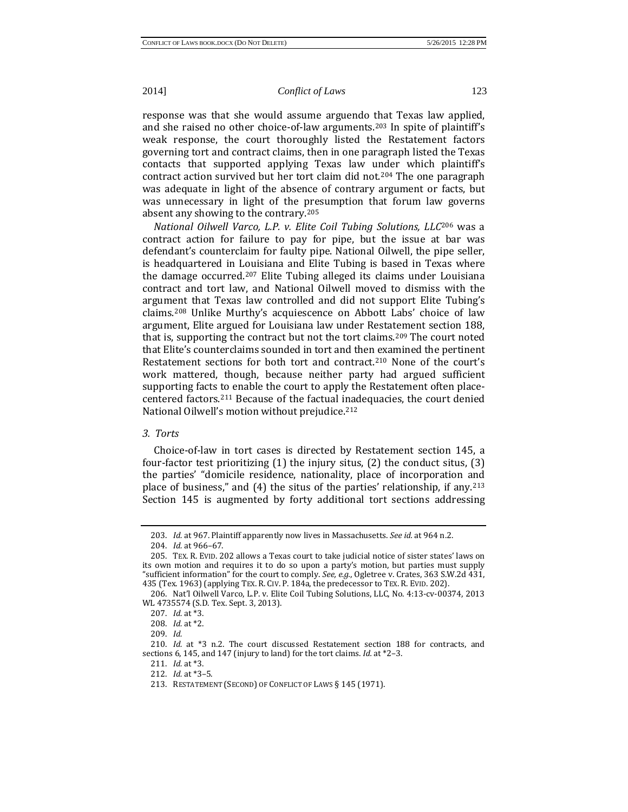response was that she would assume arguendo that Texas law applied, and she raised no other choice-of-law arguments.[203](#page-23-0) In spite of plaintiff's weak response, the court thoroughly listed the Restatement factors governing tort and contract claims, then in one paragraph listed the Texas contacts that supported applying Texas law under which plaintiff's contract action survived but her tort claim did not.[204](#page-23-1) The one paragraph was adequate in light of the absence of contrary argument or facts, but was unnecessary in light of the presumption that forum law governs absent any showing to the contrary.[205](#page-23-2)

*National Oilwell Varco, L.P. v. Elite Coil Tubing Solutions, LLC*<sup>206</sup> was a contract action for failure to pay for pipe, but the issue at [ba](#page-23-3)r was defendant's counterclaim for faulty pipe. National Oilwell, the pipe seller, is headquartered in Louisiana and Elite Tubing is based in Texas where the damage occurred.[207](#page-23-4) Elite Tubing alleged its claims under Louisiana contract and tort law, and National Oilwell moved to dismiss with the argument that Texas law controlled and did not support Elite Tubing's claims[.208](#page-23-5) Unlike Murthy's acquiescence on Abbott Labs' choice of law argument, Elite argued for Louisiana law under Restatement section 188, that is, supporting the contract but not the tort claims.<sup>[209](#page-23-6)</sup> The court noted that Elite's counterclaims sounded in tort and then examined the pertinent Restatement sections for both tort and contract.<sup>[210](#page-23-7)</sup> None of the court's work mattered, though, because neither party had argued sufficient supporting facts to enable the court to apply the Restatement often placecentered factors.[211](#page-23-8) Because of the factual inadequacies, the court denied National Oilwell's motion without prejudice.[212](#page-23-9)

# *3. Torts*

Choice-of-law in tort cases is directed by Restatement section 145, a four-factor test prioritizing (1) the injury situs, (2) the conduct situs, (3) the parties' "domicile residence, nationality, place of incorporation and place of business," and (4) the situs of the parties' relationship, if any.[213](#page-23-10) Section 145 is augmented by forty additional tort sections addressing

<sup>203.</sup> *Id.* at 967. Plaintiff apparently now lives in Massachusetts. *See id.* at 964 n.2.

<sup>204.</sup> *Id.* at 966–67.

<span id="page-23-2"></span><span id="page-23-1"></span><span id="page-23-0"></span><sup>205.</sup> TEX. R. EVID. 202 allows a Texas court to take judicial notice of sister states' laws on its own motion and requires it to do so upon a party's motion, but parties must supply "sufficient information" for the court to comply. *See, e.g.*, Ogletree v. Crates, 363 S.W.2d 431, 435 (Tex. 1963) (applying TEX. R. CIV. P. 184a, the predecessor to TEX. R. EVID. 202).

<span id="page-23-4"></span><span id="page-23-3"></span><sup>206.</sup> Nat'l Oilwell Varco, L.P. v. Elite Coil Tubing Solutions, LLC, No. 4:13-cv-00374, 2013 WL 4735574 (S.D. Tex. Sept. 3, 2013).

<sup>207.</sup> *Id.* at \*3.

<sup>208.</sup> *Id.* at \*2.

<sup>209.</sup> *Id.*

<span id="page-23-10"></span><span id="page-23-9"></span><span id="page-23-8"></span><span id="page-23-7"></span><span id="page-23-6"></span><span id="page-23-5"></span><sup>210.</sup> *Id.* at \*3 n.2. The court discussed Restatement section 188 for contracts, and sections 6, 145, and 147 (injury to land) for the tort claims. *Id.* at \*2–3.

<sup>211.</sup> *Id.* at \*3.

<sup>212.</sup> *Id.* at \*3–5.

<sup>213.</sup> RESTATEMENT (SECOND) OF CONFLICT OF LAWS § 145 (1971).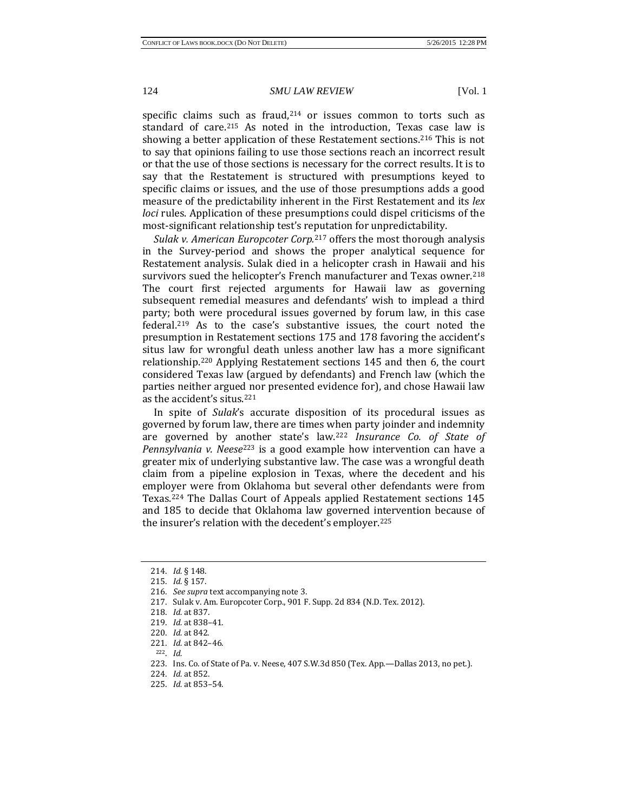specific claims s[uch](#page-24-1) as fraud,<sup>214</sup> or issues common to torts such as standard of care.215 As noted in the introduction, Texas case law is showing a better application of these Restatement sections.[216](#page-24-2) This is not to say that opinions failing to use those sections reach an incorrect result or that the use of those sections is necessary for the correct results. It is to say that the Restatement is structured with presumptions keyed to specific claims or issues, and the use of those presumptions adds a good measure of the predictability inherent in the First Restatement and its *lex loci* rules. Application of these presumptions could dispel criticisms of the most-significant relationship test's re[put](#page-24-3)ation for unpredictability.

*Sulak v. American Europcoter Corp.*<sup>217</sup> offers the most thorough analysis in the Survey-period and shows the proper analytical sequence for Restatement analysis. Sulak died in a helicopter crash in Hawaii and his survivors sued the helicopter's French manufacturer and Texas owner.<sup>[218](#page-24-4)</sup> The court first rejected arguments for Hawaii law as governing subsequent remedial measures and defendants' wish to implead a third party; both were procedural issues governed by forum law, in this case federal.[219](#page-24-5) As to the case's substantive issues, the court noted the presumption in Restatement sections 175 and 178 favoring the accident's situs law for wrongful death unless another law has a more significant relationship.[220](#page-24-6) Applying Restatement sections 145 and then 6, the court considered Texas law (argued by defendants) and French law (which the parties neither argued nor presented evidence for), and chose Hawaii law as the accident's situs[.221](#page-24-7)

In spite of *Sulak*'s accurate disposition of its procedural issues as governed by forum law, there are times when party joinder and indemnity are governed by a[not](#page-24-9)her state's law.[222](#page-24-8) *Insurance Co. of State of Pennsylvania v. Neese*<sup>223</sup> is a good example how intervention can have a greater mix of underlying substantive law. The case was a wrongful death claim from a pipeline explosion in Texas, where the decedent and his employer were from Oklahoma but several other defendants were from Texas.[224](#page-24-10) The Dallas Court of Appeals applied Restatement sections 145 and 185 to decide that Oklahoma law governed intervention because of the insurer's relation with the decedent's employer.<sup>[225](#page-24-11)</sup>

<span id="page-24-0"></span><sup>214.</sup> *Id.* § 148.

<sup>215.</sup> *Id.* § 157.

<sup>216.</sup> *See supra* text accompanying note 3.

<span id="page-24-4"></span><span id="page-24-3"></span><span id="page-24-2"></span><span id="page-24-1"></span><sup>217.</sup> Sulak v. Am. Europcoter Corp., 901 F. Supp. 2d 834 (N.D. Tex. 2012).

<span id="page-24-5"></span><sup>218.</sup> *Id.* at 837.

<sup>219.</sup> *Id.* at 838–41.

<span id="page-24-6"></span><sup>220.</sup> *Id.* at 842.

<span id="page-24-7"></span><sup>221.</sup> *Id.* at 842–46.

<span id="page-24-8"></span><sup>222.</sup> *Id.*

<span id="page-24-9"></span><sup>223.</sup> Ins. Co. of State of Pa. v. Neese, 407 S.W.3d 850 (Tex. App.—Dallas 2013, no pet.).

<span id="page-24-10"></span><sup>224.</sup> *Id.* at 852.

<span id="page-24-11"></span><sup>225.</sup> *Id.* at 853–54.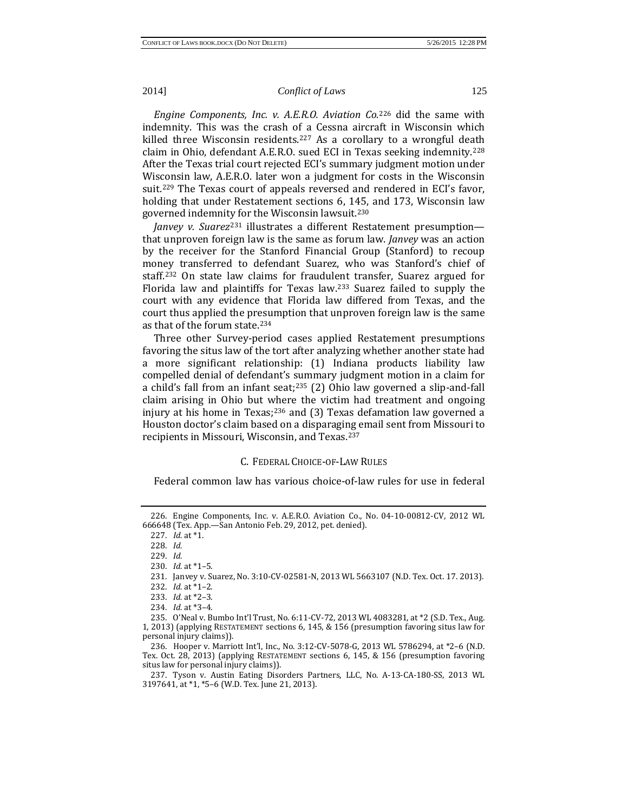*Engine Components, Inc. v. A.E.R.O. Aviation Co.*<sup>226</sup> did the same with indemnity. This was the crash of a Cessna aircr[aft i](#page-25-0)n Wisconsin which killed three Wisconsin residents.<sup>[227](#page-25-1)</sup> As a corollary to a wrongful death claim in Ohio, defendant A.E.R.O. sued ECI in Texas seeking indemnity.[228](#page-25-2) After the Texas trial court rejected ECI's summary judgment motion under Wisconsin law, A.E.R.O. later won a judgment for costs in the Wisconsin suit[.229](#page-25-3) The Texas court of appeals reversed and rendered in ECI's favor, holding that under Restatement sections 6, 145, and 173, Wisconsin law governed indemnit[y fo](#page-25-5)r the Wisconsin lawsuit.[230](#page-25-4)

*Janvey v. Suarez*<sup>231</sup> illustrates a different Restatement presumption that unproven foreign law is the same as forum law. *Janvey* was an action by the receiver for the Stanford Financial Group (Stanford) to recoup money transferred to defendant Suarez, who was Stanford's chief of staff.[232](#page-25-6) On state law claims for fraudulent transfer, Suarez argued for Florida law and plaintiffs for Texas law[.233](#page-25-7) Suarez failed to supply the court with any evidence that Florida law differed from Texas, and the court thus applied the presumption that unproven foreign law is the same as that of the forum state.[234](#page-25-8)

Three other Survey-period cases applied Restatement presumptions favoring the situs law of the tort after analyzing whether another state had a more significant relationship: (1) Indiana products liability law compelled denial of defendant's summary judgment motion in a claim for a child's fall from an infant seat[;235](#page-25-9) (2) Ohio law governed a slip-and-fall claim arising in Ohio but where the victim had treatment and ongoing injury at his home in Texas; $236$  and (3) Texas defamation law governed a Houston doctor's claim based on a disparaging email sent from Missouri to recipients in Missouri, Wisconsin, and Texas.[237](#page-25-11)

#### C. FEDERAL CHOICE-OF-LAW RULES

Federal common law has various choice-of-law rules for use in federal

<span id="page-25-3"></span><span id="page-25-2"></span><span id="page-25-1"></span><span id="page-25-0"></span><sup>226.</sup> Engine Components, Inc. v. A.E.R.O. Aviation Co., No. 04-10-00812-CV, 2012 WL 666648 (Tex. App.—San Antonio Feb. 29, 2012, pet. denied).

<sup>227.</sup> *Id.* at \*1.

<sup>228.</sup> *Id.*

<sup>229.</sup> *Id.*

<span id="page-25-4"></span><sup>230.</sup> *Id.* at \*1–5.

<sup>231.</sup> Janvey v. Suarez, No. 3:10-CV-02581-N, 2013 WL 5663107 (N.D. Tex. Oct. 17. 2013). 232. *Id.* at \*1–2.

<sup>233.</sup> *Id.* at \*2–3.

<sup>234.</sup> *Id.* at \*3–4.

<span id="page-25-9"></span><span id="page-25-8"></span><span id="page-25-7"></span><span id="page-25-6"></span><span id="page-25-5"></span><sup>235.</sup> O'Neal v. Bumbo Int'l Trust, No. 6:11-CV-72, 2013 WL 4083281, at \*2 (S.D. Tex., Aug. 1, 2013) (applying RESTATEMENT sections 6, 145, & 156 (presumption favoring situs law for personal injury claims)).

<span id="page-25-10"></span><sup>236.</sup> Hooper v. Marriott Int'l, Inc., No. 3:12-CV-5078-G, 2013 WL 5786294, at \*2–6 (N.D. Tex. Oct. 28, 2013) (applying RESTATEMENT sections 6, 145, & 156 (presumption favoring situs law for personal injury claims)).

<span id="page-25-11"></span><sup>237.</sup> Tyson v. Austin Eating Disorders Partners, LLC, No. A-13-CA-180-SS, 2013 WL 3197641, at \*1, \*5–6 (W.D. Tex. June 21, 2013).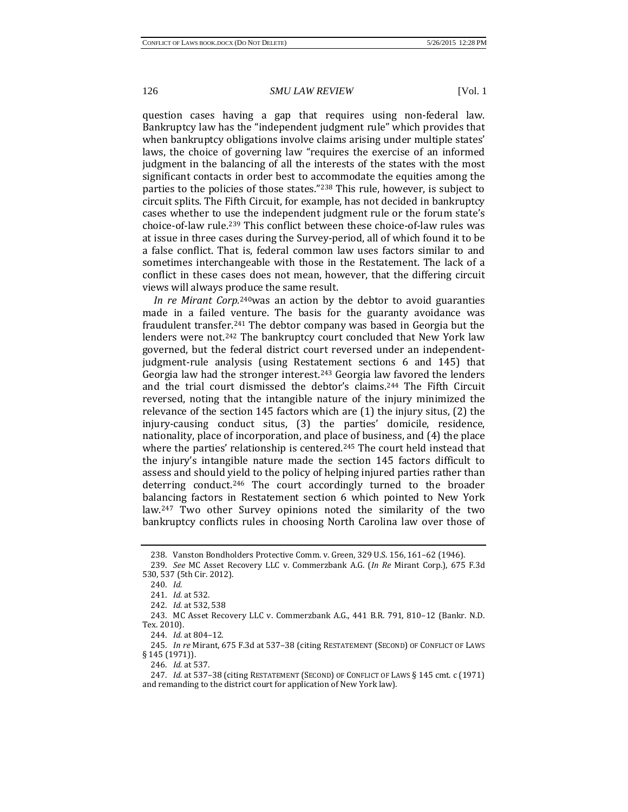question cases having a gap that requires using non-federal law. Bankruptcy law has the "independent judgment rule" which provides that when bankruptcy obligations involve claims arising under multiple states' laws, the choice of governing law "requires the exercise of an informed judgment in the balancing of all the interests of the states with the most significant contacts in order best to accommodate the equities among the parties to the policies of those states."[238](#page-26-0) This rule, however, is subject to circuit splits. The Fifth Circuit, for example, has not decided in bankruptcy cases whether to use the independent judgment rule or the forum state's choice-of-law rule.[239](#page-26-1) This conflict between these choice-of-law rules was at issue in three cases during the Survey-period, all of which found it to be a false conflict. That is, federal common law uses factors similar to and sometimes interchangeable with those in the Restatement. The lack of a conflict in these cases does not mean, however, that the differing circuit views will always produce the same result.

*In re Mirant Corp.*[240w](#page-26-2)as an action by the debtor to avoid guaranties made in a failed venture. The basis for the guaranty avoidance was fraudulent transfer.[241](#page-26-3) The debtor company was based in Georgia but the lenders were not.<sup>[242](#page-26-4)</sup> The bankruptcy court concluded that New York law governed, but the federal district court reversed under an independentjudgment-rule analysis (using Restatement sections 6 and 145) that Georgia law had the stronger interest.<sup>[243](#page-26-5)</sup> Georgia law favored the lenders and the trial court dismissed the debtor's claims[.244](#page-26-6) The Fifth Circuit reversed, noting that the intangible nature of the injury minimized the relevance of the section 145 factors which are (1) the injury situs, (2) the injury-causing conduct situs, (3) the parties' domicile, residence, nationality, place of incorporation, and place of business, and (4) the place where the parties' relationship is centered.<sup>[245](#page-26-7)</sup> The court held instead that the injury's intangible nature made the section 145 factors difficult to assess and should yield to the policy of helping injured parties rather than deterring conduct.<sup>[246](#page-26-8)</sup> The court accordingly turned to the broader balancing factors in Restatement section 6 which pointed to New York law.[247](#page-26-9) Two other Survey opinions noted the similarity of the two bankruptcy conflicts rules in choosing North Carolina law over those of

<sup>238.</sup> Vanston Bondholders Protective Comm. v. Green, 329 U.S. 156, 161–62 (1946).

<span id="page-26-2"></span><span id="page-26-1"></span><span id="page-26-0"></span><sup>239.</sup> *See* MC Asset Recovery LLC v. Commerzbank A.G. (*In Re* Mirant Corp.), 675 F.3d 530, 537 (5th Cir. 2012).

<sup>240.</sup> *Id.*

<sup>241.</sup> *Id.* at 532.

<sup>242.</sup> *Id.* at 532, 538

<span id="page-26-5"></span><span id="page-26-4"></span><span id="page-26-3"></span><sup>243.</sup> MC Asset Recovery LLC v. Commerzbank A.G., 441 B.R. 791, 810–12 (Bankr. N.D. Tex. 2010).

<sup>244.</sup> *Id.* at 804–12.

<span id="page-26-7"></span><span id="page-26-6"></span><sup>245.</sup> *In re* Mirant, 675 F.3d at 537–38 (citing RESTATEMENT (SECOND) OF CONFLICT OF LAWS § 145 (1971)).

<sup>246.</sup> *Id.* at 537.

<span id="page-26-9"></span><span id="page-26-8"></span><sup>247.</sup> *Id.* at 537–38 (citing RESTATEMENT (SECOND) OF CONFLICT OF LAWS § 145 cmt. c (1971) and remanding to the district court for application of New York law).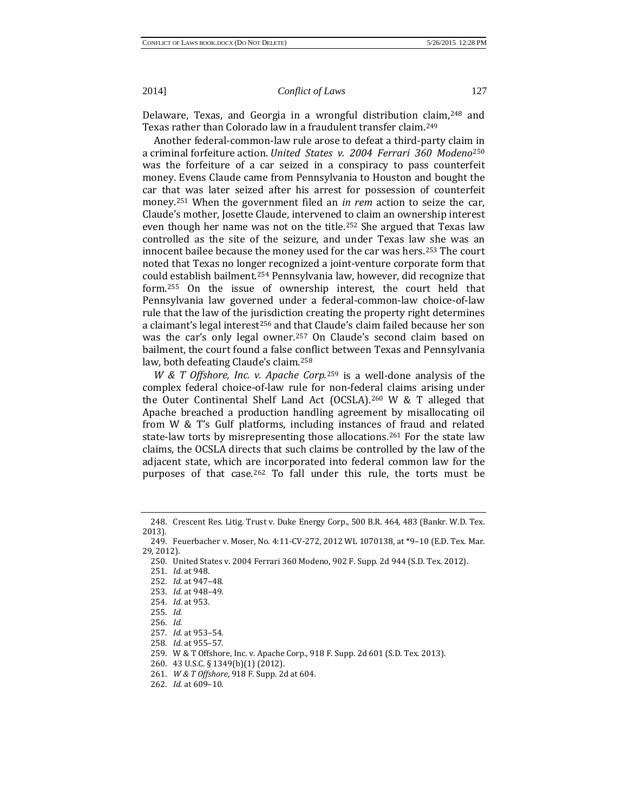Delaware, Texas, and Georgia in a wrongful distribution [clai](#page-27-1)m[,248](#page-27-0) and Texas rather than Colorado law in a fraudulent transfer claim.249

Another federal-common-law rule arose to defeat a third-party clai[m in](#page-27-2)  a criminal forfeiture action. *United States v. 2004 Ferrari 360 Modeno*<sup>250</sup> was the forfeiture of a car seized in a conspiracy to pass counterfeit money. Evens Claude came from Pennsylvania to Houston and bought the car that was later seized after his arrest for possession of counterfeit money.[251](#page-27-3) When the government filed an *in rem* action to seize the car, Claude's mother, Josette Claude, intervened to claim an ownership interest even though her name was not on the title.<sup>[252](#page-27-4)</sup> She argued that Texas law controlled as the site of the seizure, and under Texas law she was an innocent bailee because the money used for the car was hers.[253](#page-27-5) The court noted that Texas no longer recognized a joint-venture corporate form that coul[d es](#page-27-7)tablish bailment.[254](#page-27-6) Pennsylvania law, however, did recognize that form.255 On the issue of ownership interest, the court held that Pennsylvania law governed under a federal-common-law choice-of-law rule that the law of the jurisdiction creating the property right determines a claimant's legal interest<sup>256</sup> and that Claude's claim failed because her son was the car's only legal owner.<sup>[257](#page-27-9)</sup> On Claude's second claim based on bailment, the court found a false conflict between Texas and Pennsylvania law, both defeating Claude's claim[.258](#page-27-10)

*W & T Offshore, Inc. v. Apache Corp.*<sup>259</sup> is a well-done analysis of the complex federal choice-of-law rule for [no](#page-27-11)n-federal claims arising under the Outer Continental Shelf Land Act (OCSLA)[.260](#page-27-12) W & T alleged that Apache breached a production handling agreement by misallocating oil from W & T's Gulf platforms, including instances of fraud and related state-law torts by misrepresenting those allocations.<sup>[261](#page-27-13)</sup> For the state law claims, the OCSLA directs that such claims be controlled by the law of the adjacent state, which are incorporated into federal common law for the purposes of that case.<sup>[262](#page-27-14)</sup> To fall under this rule, the torts must be

<span id="page-27-0"></span><sup>248.</sup> Crescent Res. Litig. Trust v. Duke Energy Corp., 500 B.R. 464, 483 (Bankr. W.D. Tex. 2013).

<span id="page-27-4"></span><span id="page-27-3"></span><span id="page-27-2"></span><span id="page-27-1"></span><sup>249.</sup> Feuerbacher v. Moser, No. 4:11-CV-272, 2012 WL 1070138, at \*9–10 (E.D. Tex. Mar. 29, 2012).

<sup>250.</sup> United States v. 2004 Ferrari 360 Modeno, 902 F. Supp. 2d 944 (S.D. Tex. 2012).

<sup>251.</sup> *Id.* at 948.

<sup>252.</sup> *Id.* at 947–48.

<span id="page-27-5"></span><sup>253.</sup> *Id.* at 948–49.

<sup>254.</sup> *Id.* at 953.

<span id="page-27-8"></span><span id="page-27-7"></span><span id="page-27-6"></span><sup>255.</sup> *Id.*

<sup>256.</sup> *Id.*

<sup>257.</sup> *Id.* at 953–54.

<sup>258.</sup> *Id.* at 955–57.

<span id="page-27-13"></span><span id="page-27-12"></span><span id="page-27-11"></span><span id="page-27-10"></span><span id="page-27-9"></span><sup>259.</sup> W & T Offshore, Inc. v. Apache Corp., 918 F. Supp. 2d 601 (S.D. Tex. 2013).

<sup>260.</sup> 43 U.S.C. § 1349(b)(1) (2012).

<sup>261.</sup> *W & T Offshore*, 918 F. Supp. 2d at 604.

<span id="page-27-14"></span><sup>262.</sup> *Id.* at 609–10.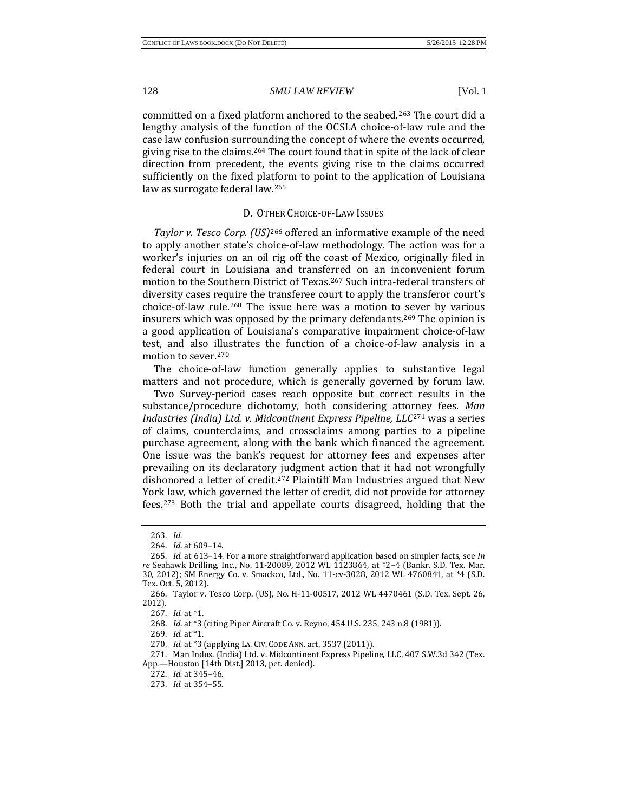committed on a fixed platform anchored to the seabed.[263](#page-28-0) The court did a lengthy analysis of the function of the OCSLA choice-of-law rule and the case law confusion surrounding the concept of where the events occurred, giving rise to the claims.[264](#page-28-1) The court found that in spite of the lack of clear direction from precedent, the events giving rise to the claims occurred sufficiently on the fixed platform to point to the application of Louisiana law as surrogate federal law.[265](#page-28-2)

# D. OT[HER](#page-28-3) CHOICE-OF-LAW ISSUES

*Taylor v. Tesco Corp. (US)*<sup>266</sup> offered an informative example of the need to apply another state's choice-of-law methodology. The action was for a worker's injuries on an oil rig off the coast of Mexico, originally filed in federal court in Louisiana and transferred on an inconvenient forum motion to the Southern District of Texas.[267](#page-28-4) Such intra-federal transfers of diversity cases require the transferee court to apply the transferor court's choice-of-law rule.<sup>[268](#page-28-5)</sup> The issue here was a motion to sever by various insurers which was opposed by the primary defendants.<sup>[269](#page-28-6)</sup> The opinion is a good application of Louisiana's comparative impairment choice-of-law test, and also illustrates the function of a choice-of-law analysis in a motion to sever.[270](#page-28-7)

The choice-of-law function generally applies to substantive legal matters and not procedure, which is generally governed by forum law.

Two Survey-period cases reach opposite but correct results in the substance/procedure dichotomy, both considering atto[rne](#page-28-8)y fees. *Man Industries (India) Ltd. v. Midcontinent Express Pipeline, LLC*<sup>271</sup> was a series of claims, counterclaims, and crossclaims among parties to a pipeline purchase agreement, along with the bank which financed the agreement. One issue was the bank's request for attorney fees and expenses after prevailing on its declaratory judgment action that it had not wrongfully dishonored a letter of credit.[272](#page-28-9) Plaintiff Man Industries argued that New York law, which governed the letter of credit, did not provide for attorney fees.[273](#page-28-10) Both the trial and appellate courts disagreed, holding that the

<sup>263.</sup> *Id.*

<sup>264.</sup> *Id.* at 609–14.

<span id="page-28-2"></span><span id="page-28-1"></span><span id="page-28-0"></span><sup>265.</sup> *Id.* at 613–14. For a more straightforward application based on simpler facts, see *In re* Seahawk Drilling, Inc., No. 11-20089, 2012 WL 1123864, at \*2–4 (Bankr. S.D. Tex. Mar. 30, 2012); SM Energy Co. v. Smackco, Ltd., No. 11-cv-3028, 2012 WL 4760841, at \*4 (S.D. Tex. Oct. 5, 2012).

<span id="page-28-5"></span><span id="page-28-4"></span><span id="page-28-3"></span><sup>266.</sup> Taylor v. Tesco Corp. (US), No. H-11-00517, 2012 WL 4470461 (S.D. Tex. Sept. 26, 2012).

<sup>267.</sup> *Id.* at \*1.

<sup>268.</sup> *Id.* at \*3 (citing Piper Aircraft Co. v. Reyno, 454 U.S. 235, 243 n.8 (1981)).

<sup>269.</sup> *Id.* at \*1.

<sup>270.</sup> *Id.* at \*3 (applying LA. CIV. CODE ANN. art. 3537 (2011)).

<span id="page-28-10"></span><span id="page-28-9"></span><span id="page-28-8"></span><span id="page-28-7"></span><span id="page-28-6"></span><sup>271.</sup> Man Indus. (India) Ltd. v. Midcontinent Express Pipeline, LLC, 407 S.W.3d 342 (Tex. App.—Houston [14th Dist.] 2013, pet. denied).

<sup>272.</sup> *Id.* at 345–46.

<sup>273.</sup> *Id.* at 354–55.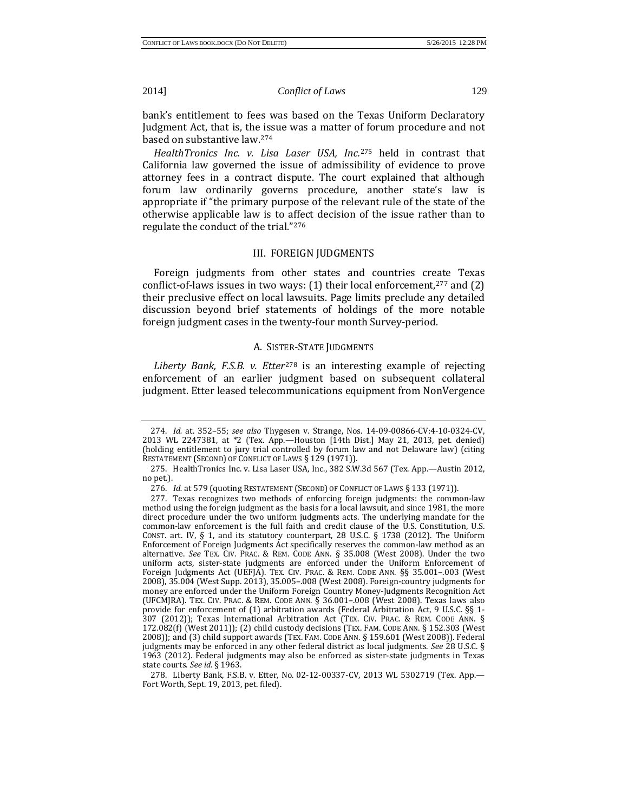bank's entitlement to fees was based on the Texas Uniform Declaratory Judgment Act, that is, the issue was a matter of forum procedure and not based on substantive law[.274](#page-29-0)

*HealthTronics Inc. v. Lisa Laser USA, Inc.*<sup>275</sup> held in contrast that California law governed the issue of admissi[bilit](#page-29-1)y of evidence to prove attorney fees in a contract dispute. The court explained that although forum law ordinarily governs procedure, another state's law is appropriate if "the primary purpose of the relevant rule of the state of the otherwise applicable law is to affect decision of the issue rather than to regulate the conduct of the trial."[276](#page-29-2)

# III. FOREIGN JUDGMENTS

Foreign judgments from other states and countries create Texas conflict-of-laws issues in two ways:  $(1)$  their local enforcement,<sup>[277](#page-29-3)</sup> and  $(2)$ their preclusive effect on local lawsuits. Page limits preclude any detailed discussion beyond brief statements of holdings of the more notable foreign judgment cases in the twenty-four month Survey-period.

# A. SIST[ER-](#page-29-4)STATE JUDGMENTS

*Liberty Bank, F.S.B. v. Etter*<sup>278</sup> is an interesting example of rejecting enforcement of an earlier judgment based on subsequent collateral judgment. Etter leased telecommunications equipment from NonVergence

<span id="page-29-0"></span><sup>274.</sup> *Id.* at. 352–55; *see also* Thygesen v. Strange, Nos. 14-09-00866-CV:4-10-0324-CV, 2013 WL 2247381, at \*2 (Tex. App.—Houston [14th Dist.] May 21, 2013, pet. denied) (holding entitlement to jury trial controlled by forum law and not Delaware law) (citing RESTATEMENT (SECOND) OF CONFLICT OF LAWS § 129 (1971)).

<span id="page-29-1"></span><sup>275.</sup> HealthTronics Inc. v. Lisa Laser USA, Inc., 382 S.W.3d 567 (Tex. App.—Austin 2012, no pet.).

<sup>276.</sup> *Id.* at 579 (quoting RESTATEMENT (SECOND) OF CONFLICT OF LAWS § 133 (1971)).

<span id="page-29-3"></span><span id="page-29-2"></span><sup>277.</sup> Texas recognizes two methods of enforcing foreign judgments: the common-law method using the foreign judgment as the basis for a local lawsuit, and since 1981, the more direct procedure under the two uniform judgments acts. The underlying mandate for the common-law enforcement is the full faith and credit clause of the U.S. Constitution, U.S. CONST. art. IV,  $\S$  1, and its statutory counterpart, 28 U.S.C.  $\S$  1738 (2012). The Uniform Enforcement of Foreign Judgments Act specifically reserves the common-law method as an alternative. *See* TEX. CIV. PRAC. & REM. CODE ANN. § 35.008 (West 2008). Under the two uniform acts, sister-state judgments are enforced under the Uniform Enforcement of Foreign Judgments Act (UEFJA). TEX. CIV. PRAC. & REM. CODE ANN. §§ 35.001-.003 (West 2008), 35.004 (West Supp. 2013), 35.005–.008 (West 2008). Foreign-country judgments for money are enforced under the Uniform Foreign Country Money-Judgments Recognition Act (UFCMJRA). TEX. CIV. PRAC. & REM. CODE ANN. § 36.001–.008 (West 2008). Texas laws also provide for enforcement of (1) arbitration awards (Federal Arbitration Act, 9 U.S.C. §§ 1- 307 (2012)); Texas International Arbitration Act (TEX. CIV. PRAC. & REM. CODE ANN. § 172.082(f) (West 2011)); (2) child custody decisions (TEX. FAM. CODE ANN. § 152.303 (West 2008)); and (3) child support awards (TEX. FAM. CODE ANN. § 159.601 (West 2008)). Federal judgments may be enforced in any other federal district as local judgments. *See* 28 U.S.C. § 1963 (2012). Federal judgments may also be enforced as sister-state judgments in Texas state courts. *See id.* § 1963.

<span id="page-29-4"></span><sup>278.</sup> Liberty Bank, F.S.B. v. Etter, No. 02-12-00337-CV, 2013 WL 5302719 (Tex. App.— Fort Worth, Sept. 19, 2013, pet. filed).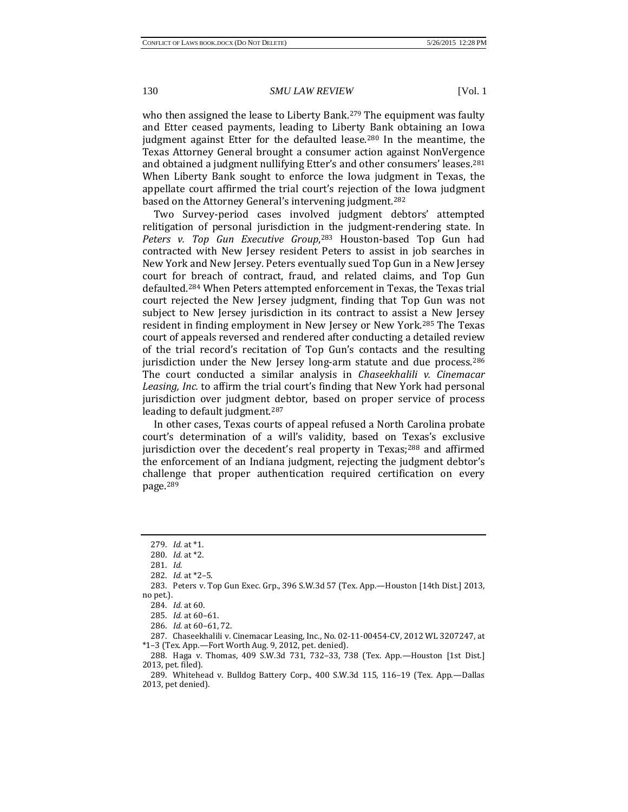who then assigned the lease to Liberty Bank.<sup>[279](#page-30-0)</sup> The equipment was faulty and Etter ceased payments, leading to Liberty Bank obtaining an Iowa judgment against Etter for the defaulted lease[.280](#page-30-1) In the meantime, the Texas Attorney General brought a consumer action against NonVergence and obtained a judgment nullifying Etter's and other consumers' leases[.281](#page-30-2) When Liberty Bank sought to enforce the Iowa judgment in Texas, the appellate court affirmed the trial court's rejection of the Iowa judgment based on the Attorney General's intervening judgment.[282](#page-30-3)

Two Survey-period cases involved judgment debtors' attempted relitigation of personal jurisdiction i[n th](#page-30-4)e judgment-rendering state. In *Peters v. Top Gun Executive Group*, <sup>283</sup> Houston-based Top Gun had contracted with New Jersey resident Peters to assist in job searches in New York and New Jersey. Peters eventually sued Top Gun in a New Jersey court for breach of contract, fraud, and related claims, and Top Gun defaulted.[284](#page-30-5) When Peters attempted enforcement in Texas, the Texas trial court rejected the New Jersey judgment, finding that Top Gun was not subject to New Jersey jurisdiction in its contract to assist a New Jersey resident in finding employment in New Jersey or New York.[285](#page-30-6) The Texas court of appeals reversed and rendered after conducting a detailed review of the trial record's recitation of Top Gun's contacts and the resulting jurisdiction under the New Jersey long-arm statute and due process.  $286$ The court conducted a similar analysis in *Chaseekhalili v. Cinemacar Leasing, Inc.* to affirm the trial court's finding that New York had personal jurisdiction over judgment debtor, based on proper service of process leading to default judgment.[287](#page-30-8)

In other cases, Texas courts of appeal refused a North Carolina probate court's determination of a will's validity, based on Texas's exclusive jurisdiction over the decedent's real property in Texas; $288$  and affirmed the enforcement of an Indiana judgment, rejecting the judgment debtor's challenge that proper authentication required certification on every page.[289](#page-30-10)

<sup>279.</sup> *Id.* at \*1.

<sup>280.</sup> *Id.* at \*2.

<sup>281.</sup> *Id.*

<sup>282.</sup> *Id.* at \*2–5.

<span id="page-30-5"></span><span id="page-30-4"></span><span id="page-30-3"></span><span id="page-30-2"></span><span id="page-30-1"></span><span id="page-30-0"></span><sup>283.</sup> Peters v. Top Gun Exec. Grp., 396 S.W.3d 57 (Tex. App.—Houston [14th Dist.] 2013, no pet.).

<sup>284.</sup> *Id.* at 60.

<sup>285.</sup> *Id.* at 60–61.

<sup>286.</sup> *Id.* at 60–61, 72.

<span id="page-30-8"></span><span id="page-30-7"></span><span id="page-30-6"></span><sup>287.</sup> Chaseekhalili v. Cinemacar Leasing, Inc., No. 02-11-00454-CV, 2012 WL 3207247, at \*1–3 (Tex. App.—Fort Worth Aug. 9, 2012, pet. denied).

<span id="page-30-9"></span><sup>288.</sup> Haga v. Thomas, 409 S.W.3d 731, 732–33, 738 (Tex. App.—Houston [1st Dist.] 2013, pet. filed).

<span id="page-30-10"></span><sup>289.</sup> Whitehead v. Bulldog Battery Corp., 400 S.W.3d 115, 116–19 (Tex. App.—Dallas 2013, pet denied).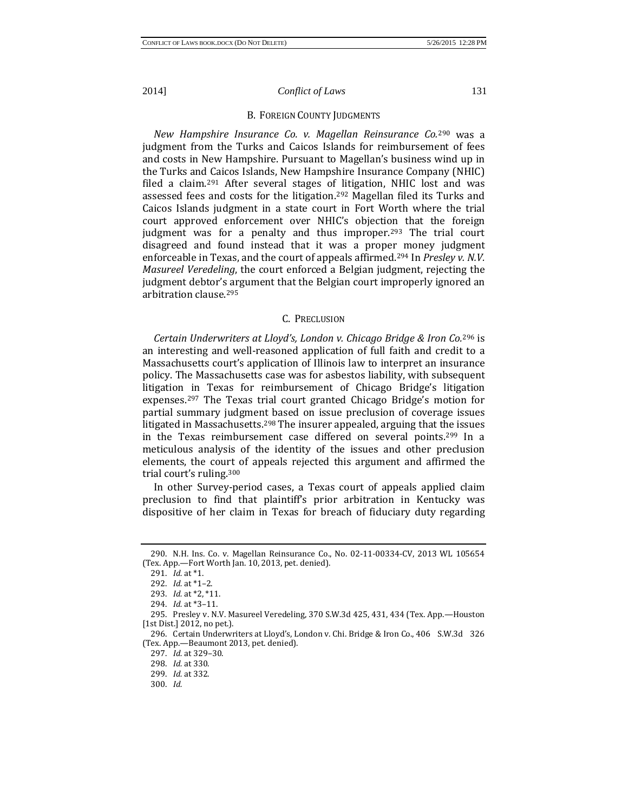#### B. FOREIGN COUNTY JUDGMENTS

*New Hampshire Insurance Co. v. Magellan Reinsurance Co.*<sup>290</sup> was a judgment from the Turks and Caicos Islands for reimbursem[ent](#page-31-0) of fees and costs in New Hampshire. Pursuant to Magellan's business wind up in the Turks and Caicos Islands, New Hampshire Insurance Company (NHIC) filed a claim.[291](#page-31-1) After several stages of litigation, NHIC lost and was assessed fees and costs for the litigation[.292](#page-31-2) Magellan filed its Turks and Caicos Islands judgment in a state court in Fort Worth where the trial court approved enforcement over NHIC's objection that the foreign judgment was for a penalty and thus improper.<sup>[293](#page-31-3)</sup> The trial court disagreed and found instead that it was a proper money judgment enforceable in Texas, and the court of appeals affirmed.[294](#page-31-4) In *Presley v. N.V. Masureel Veredeling*, the court enforced a Belgian judgment, rejecting the judgment debtor's argument that the Belgian court improperly ignored an arbitration clause.[295](#page-31-5)

#### C. PRECLUSION

*Certain Underwriters at Lloyd's, London v. Chicago Bridge & Iron Co.*<sup>296</sup> is an interesting and well-reasoned application of full faith and credi[t to](#page-31-6) a Massachusetts court's application of Illinois law to interpret an insurance policy. The Massachusetts case was for asbestos liability, with subsequent litigation in Texas for reimbursement of Chicago Bridge's litigation expenses.[297](#page-31-7) The Texas trial court granted Chicago Bridge's motion for partial summary judgment based on issue preclusion of coverage issues litigated in Massachusetts.<sup>[298](#page-31-8)</sup> The insurer appealed, arguing that the issues in the Texas reimbursement case differed on several points.[299](#page-31-9) In a meticulous analysis of the identity of the issues and other preclusion elements, the court of appeals rejected this argument and affirmed the trial court's ruling.[300](#page-31-10)

In other Survey-period cases, a Texas court of appeals applied claim preclusion to find that plaintiff's prior arbitration in Kentucky was dispositive of her claim in Texas for breach of fiduciary duty regarding

<span id="page-31-2"></span><span id="page-31-1"></span><span id="page-31-0"></span><sup>290.</sup> N.H. Ins. Co. v. Magellan Reinsurance Co., No. 02-11-00334-CV, 2013 WL 105654 (Tex. App.—Fort Worth Jan. 10, 2013, pet. denied).

<sup>291.</sup> *Id.* at \*1.

<sup>292.</sup> *Id.* at \*1–2.

<sup>293.</sup> *Id.* at \*2, \*11.

<sup>294.</sup> *Id.* at \*3–11.

<span id="page-31-5"></span><span id="page-31-4"></span><span id="page-31-3"></span><sup>295.</sup> Presley v. N.V. Masureel Veredeling, 370 S.W.3d 425, 431, 434 (Tex. App.—Houston [1st Dist.] 2012, no pet.).

<span id="page-31-9"></span><span id="page-31-8"></span><span id="page-31-7"></span><span id="page-31-6"></span><sup>296.</sup> Certain Underwriters at Lloyd's, London v. Chi. Bridge & Iron Co., 406 S.W.3d 326 (Tex. App.—Beaumont 2013, pet. denied).

<sup>297.</sup> *Id.* at 329–30.

<sup>298.</sup> *Id.* at 330.

<sup>299.</sup> *Id.* at 332.

<span id="page-31-10"></span><sup>300.</sup> *Id.*